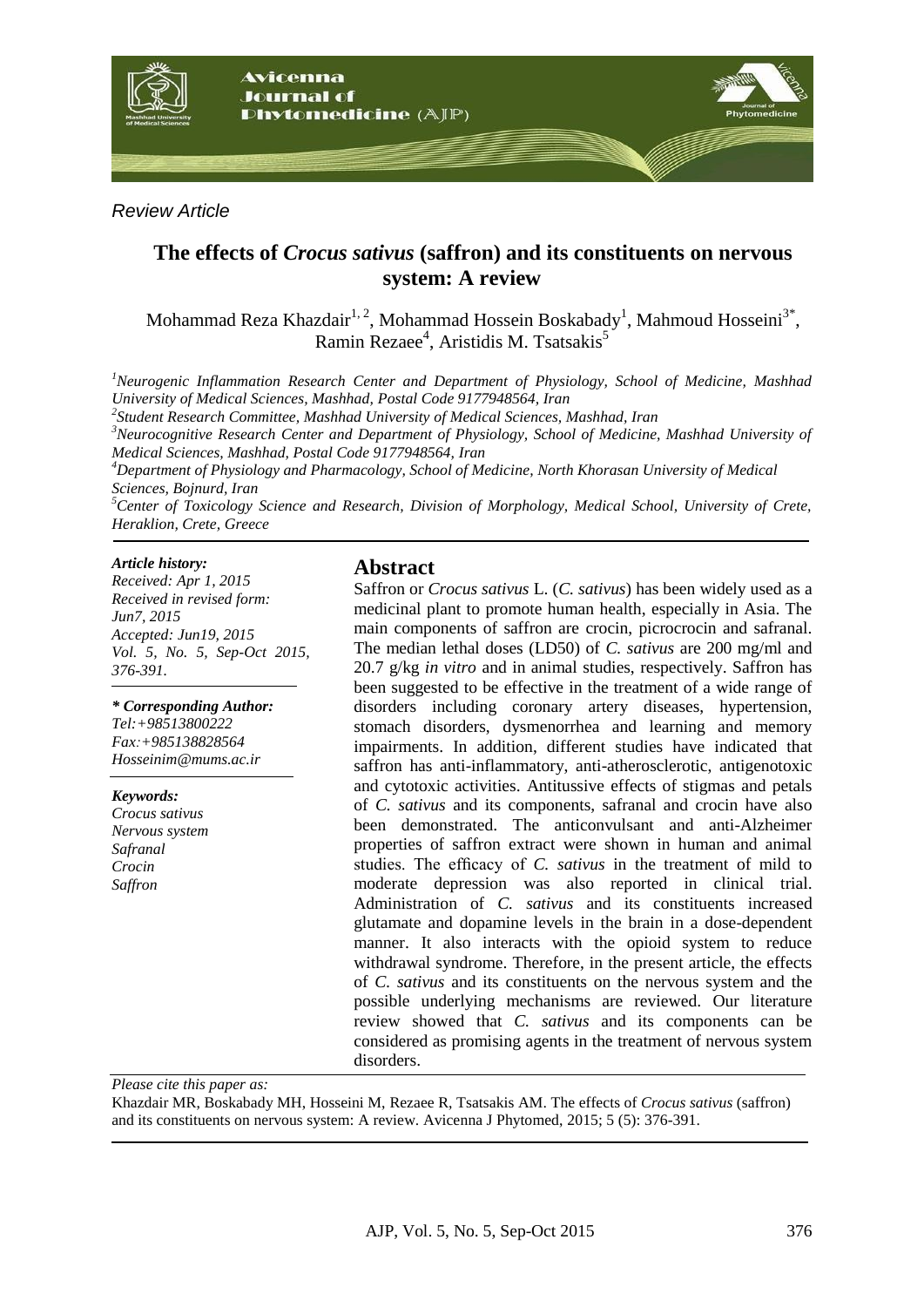

*Review Article*

## **The effects of** *Crocus sativus* **(saffron) and its constituents on nervous system: A review**

Mohammad Reza Khazdair $^{1, 2}$ , Mohammad Hossein Boskabady<sup>1</sup>, Mahmoud Hosseini $^{3*}$ , Ramin Rezaee<sup>4</sup>, Aristidis M. Tsatsakis<sup>5</sup>

*<sup>1</sup>Neurogenic Inflammation Research Center and Department of Physiology, School of Medicine, Mashhad University of Medical Sciences, Mashhad, Postal Code 9177948564, Iran*

*2 Student Research Committee, Mashhad University of Medical Sciences, Mashhad, Iran*

*<sup>3</sup>Neurocognitive Research Center and Department of Physiology, School of Medicine, Mashhad University of Medical Sciences, Mashhad, Postal Code 9177948564, Iran*

*<sup>4</sup>Department of Physiology and Pharmacology, School of Medicine, North Khorasan University of Medical Sciences, Bojnurd, Iran*

*<sup>5</sup>Center of Toxicology Science and Research, Division of Morphology, Medical School, University of Crete, Heraklion, Crete, Greece*

#### *Article history:*

*Received: Apr 1, 2015 Received in revised form: Jun7, 2015 Accepted: Jun19, 2015 Vol. 5, No. 5, Sep-Oct 2015, 376-391.*

## *\* Corresponding Author:*

*Tel:+98513800222 Fax:+985138828564 [Hosseinim@mums.ac.ir](mailto:Hosseinim@mums.ac.ir)*

*Keywords:* 

*Crocus sativus Nervous system Safranal Crocin Saffron*

#### **Abstract**

Saffron or *Crocus sativus* L. (*C. sativus*) has been widely used as a medicinal plant to promote human health, especially in Asia. The main components of saffron are crocin, picrocrocin and safranal. The median lethal doses (LD50) of *C. sativus* are 200 mg/ml and 20.7 g/kg *in vitro* and in animal studies, respectively. Saffron has been suggested to be effective in the treatment of a wide range of disorders including coronary artery diseases, hypertension, stomach disorders, dysmenorrhea and learning and memory impairments. In addition, different studies have indicated that saffron has anti-inflammatory, anti-atherosclerotic, antigenotoxic and cytotoxic activities. Antitussive effects of stigmas and petals of *C. sativus* and its components, safranal and crocin have also been demonstrated. The anticonvulsant and anti-Alzheimer properties of saffron extract were shown in human and animal studies. The efficacy of *C. sativus* in the treatment of mild to moderate depression was also reported in clinical trial. Administration of *C. sativus* and its constituents increased glutamate and dopamine levels in the brain in a dose-dependent manner. It also interacts with the opioid system to reduce withdrawal syndrome. Therefore, in the present article, the effects of *C. sativus* and its constituents on the nervous system and the possible underlying mechanisms are reviewed. Our literature review showed that *C. sativus* and its components can be considered as promising agents in the treatment of nervous system disorders.

*Please cite this paper as:* 

Khazdair MR, Boskabady MH, Hosseini M, Rezaee R, Tsatsakis AM. The effects of *Crocus sativus* (saffron) and its constituents on nervous system: A review. Avicenna J Phytomed, 2015; 5 (5): 376-391.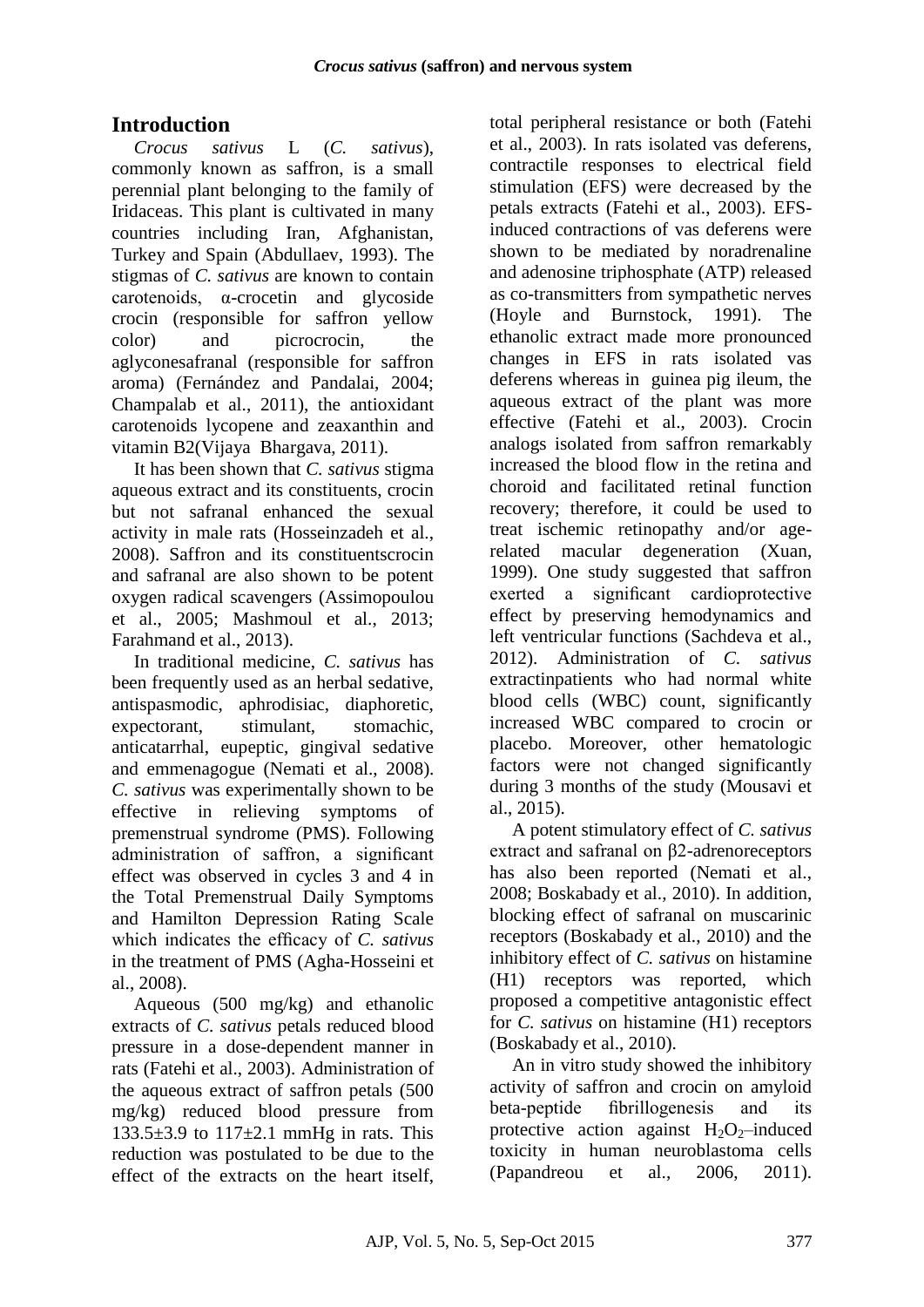# **Introduction**

*Crocus sativus* L (*C. sativus*), commonly known as saffron, is a small perennial plant belonging to the family of Iridaceas. This plant is cultivated in many countries including Iran, Afghanistan, Turkey and Spain (Abdullaev, 1993). The stigmas of *C. sativus* are known to contain carotenoids, α-crocetin and glycoside crocin (responsible for saffron yellow color) and picrocrocin, the aglyconesafranal (responsible for saffron aroma) (Fernández and Pandalai, 2004; Champalab et al., 2011), the antioxidant carotenoids lycopene and zeaxanthin and [vitamin B2\(](http://www.med.nyu.edu/content?ChunkIID=21859)Vijaya Bhargava, 2011).

It has been shown that *C. sativus* stigma aqueous extract and its constituents, crocin but not safranal enhanced the sexual activity in male rats (Hosseinzadeh et al., 2008). Saffron and its constituentscrocin and safranal are also shown to be potent oxygen radical scavengers (Assimopoulou et al., 2005; Mashmoul et al., 2013; Farahmand et al., 2013).

In traditional medicine, *C. sativus* has been frequently used as an herbal sedative, antispasmodic, aphrodisiac, diaphoretic, expectorant, stimulant, stomachic, anticatarrhal, eupeptic, gingival sedative and emmenagogue (Nemati et al., 2008). *C. sativus* was experimentally shown to be effective in relieving symptoms of premenstrual syndrome (PMS). Following administration of saffron, a significant effect was observed in cycles 3 and 4 in the Total Premenstrual Daily Symptoms and Hamilton Depression Rating Scale which indicates the efficacy of *C. sativus* in the treatment of PMS (Agha-Hosseini et al., 2008).

Aqueous (500 mg/kg) and ethanolic extracts of *C. sativus* petals reduced blood pressure in a dose-dependent manner in rats (Fatehi et al., 2003). Administration of the aqueous extract of saffron petals (500 mg/kg) reduced blood pressure from  $133.5\pm3.9$  to  $117\pm2.1$  mmHg in rats. This reduction was postulated to be due to the effect of the extracts on the heart itself,

total peripheral resistance or both (Fatehi et al., 2003). In rats isolated vas deferens, contractile responses to electrical field stimulation (EFS) were decreased by the petals extracts (Fatehi et al., 2003). EFSinduced contractions of vas deferens were shown to be mediated by noradrenaline and adenosine triphosphate (ATP) released as co-transmitters from sympathetic nerves (Hoyle and Burnstock, 1991). The ethanolic extract made more pronounced changes in EFS in rats isolated vas deferens whereas in guinea pig ileum, the aqueous extract of the plant was more effective (Fatehi et al., 2003). Crocin analogs isolated from saffron remarkably increased the blood flow in the retina and choroid and facilitated retinal function recovery; therefore, it could be used to treat ischemic retinopathy and/or agerelated macular degeneration (Xuan, 1999). One study suggested that saffron exerted a significant cardioprotective effect by preserving hemodynamics and left ventricular functions (Sachdeva et al., 2012). Administration of *C. sativus* extractinpatients who had normal white blood cells (WBC) count, significantly increased WBC compared to crocin or placebo. Moreover, other hematologic factors were not changed significantly during 3 months of the study (Mousavi et al., 2015).

A potent stimulatory effect of *C. sativus* extract and safranal on β2-adrenoreceptors has also been reported (Nemati et al., 2008; Boskabady et al., 2010). In addition, blocking effect of safranal on muscarinic receptors (Boskabady et al., 2010) and the inhibitory effect of *C. sativus* on histamine (H1) receptors was reported, which proposed a competitive antagonistic effect for *C. sativus* on histamine (H1) receptors (Boskabady et al., 2010).

An in vitro study showed the inhibitory activity of saffron and crocin on amyloid beta-peptide fibrillogenesis and its protective action against  $H_2O_2$ –induced toxicity in human neuroblastoma cells (Papandreou et al., 2006, 2011).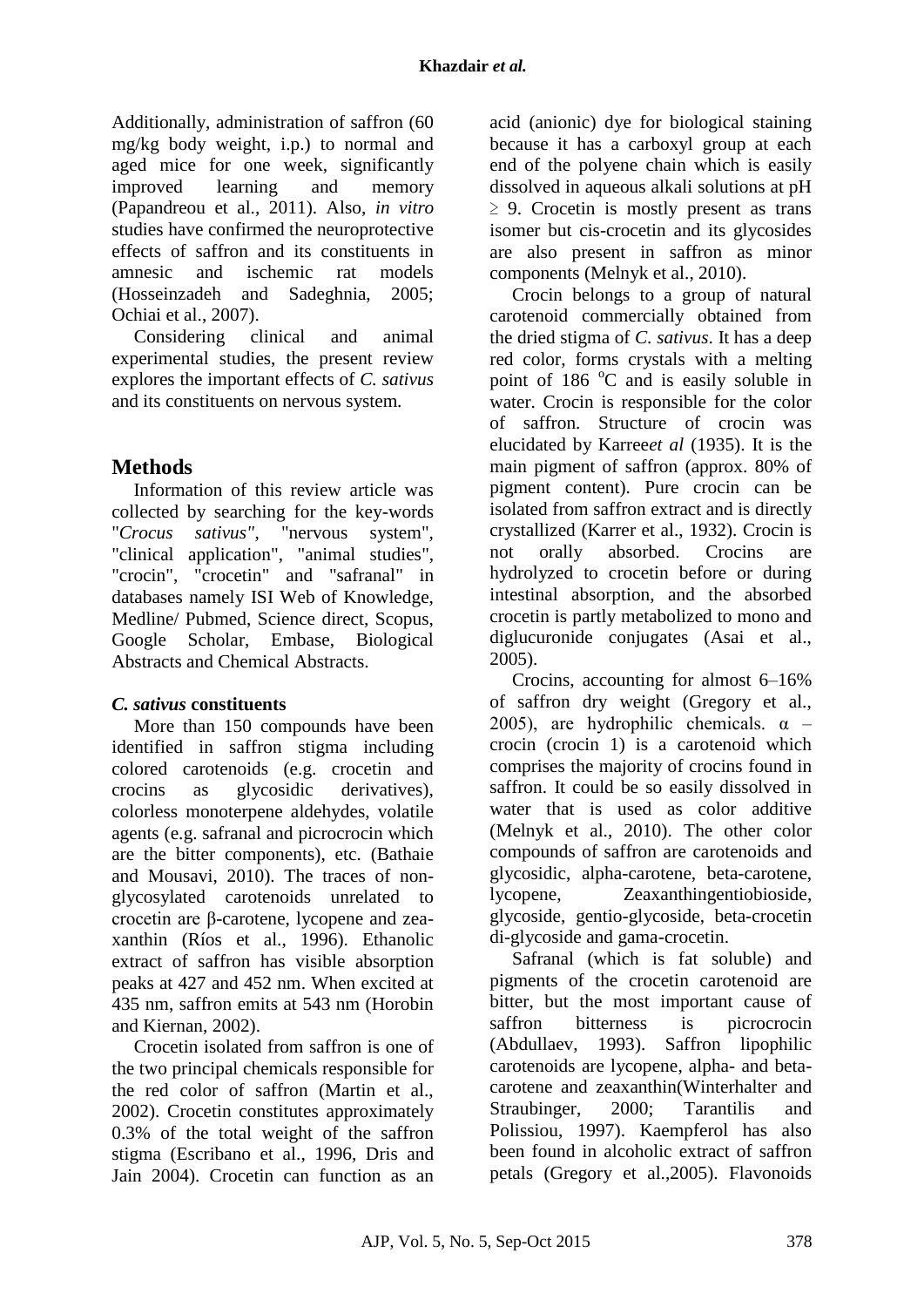Additionally, administration of saffron (60 mg/kg body weight, i.p.) to normal and aged mice for one week, significantly improved learning and memory (Papandreou et al., 2011). Also, *in vitro* studies have confirmed the neuroprotective effects of saffron and its constituents in amnesic and ischemic rat models (Hosseinzadeh and Sadeghnia, 2005; Ochiai et al., 2007).

Considering clinical and animal experimental studies, the present review explores the important effects of *C. sativus* and its constituents on nervous system*.*

## **Methods**

Information of this review article was collected by searching for the key-words "*Crocus sativus"*, "nervous system", "clinical application", "animal studies", "crocin", "crocetin" and "safranal" in databases namely ISI Web of Knowledge, Medline/ Pubmed, Science direct, Scopus, Google Scholar, Embase, Biological Abstracts and Chemical Abstracts.

## *C. sativus* **constituents**

More than 150 compounds have been identified in saffron stigma including colored carotenoids (e.g. crocetin and crocins as glycosidic derivatives), colorless monoterpene aldehydes, volatile agents (e.g. safranal and picrocrocin which are the bitter components), etc. (Bathaie and Mousavi, 2010). The traces of nonglycosylated carotenoids unrelated to crocetin are β-carotene, lycopene and zeaxanthin (Ríos et al., 1996). Ethanolic extract of saffron has visible absorption peaks at 427 and 452 nm. When excited at 435 nm, saffron emits at 543 nm (Horobin and Kiernan, 2002).

Crocetin isolated from saffron is one of the two principal chemicals responsible for the red color of saffron (Martin et al., 2002). Crocetin constitutes approximately 0.3% of the total weight of the saffron stigma (Escribano et al., 1996, Dris and Jain 2004). Crocetin can function as an acid (anionic) dye for biological staining because it has a carboxyl group at each end of the polyene chain which is easily dissolved in aqueous alkali solutions at pH  $\geq$  9. Crocetin is mostly present as trans isomer but cis-crocetin and its glycosides are also present in saffron as minor components (Melnyk et al., 2010).

Crocin belongs to a group of natural carotenoid commercially obtained from the dried stigma of *C. sativus*. It has a deep red color, forms crystals with a melting point of  $186^{\circ}$ C and is easily soluble in water. Crocin is responsible for the color of saffron. Structure of crocin was elucidated by Karree*et al* (1935). It is the main pigment of saffron (approx. 80% of pigment content). Pure crocin can be isolated from saffron extract and is directly crystallized (Karrer et al., 1932). Crocin is not orally absorbed. Crocins are hydrolyzed to crocetin before or during intestinal absorption, and the absorbed crocetin is partly metabolized to mono and diglucuronide conjugates (Asai et al., 2005).

Crocins, accounting for almost 6–16% of saffron dry weight (Gregory et al., 2005), are hydrophilic chemicals.  $\alpha$  – crocin (crocin 1) is a carotenoid which comprises the majority of crocins found in saffron. It could be so easily dissolved in water that is used as color additive (Melnyk et al., 2010). The other color compounds of saffron are carotenoids and glycosidic, alpha-carotene, beta-carotene, lycopene, Zeaxanthingentiobioside, glycoside, gentio-glycoside, beta-crocetin di-glycoside and gama-crocetin.

Safranal (which is fat soluble) and pigments of the crocetin carotenoid are bitter, but the most important cause of saffron bitterness is picrocrocin (Abdullaev, 1993). Saffron lipophilic carotenoids are lycopene, alpha- and betacarotene and zeaxanthin(Winterhalter and Straubinger, 2000; Tarantilis and Polissiou, 1997). Kaempferol has also been found in alcoholic extract of saffron petals (Gregory et al.,2005). Flavonoids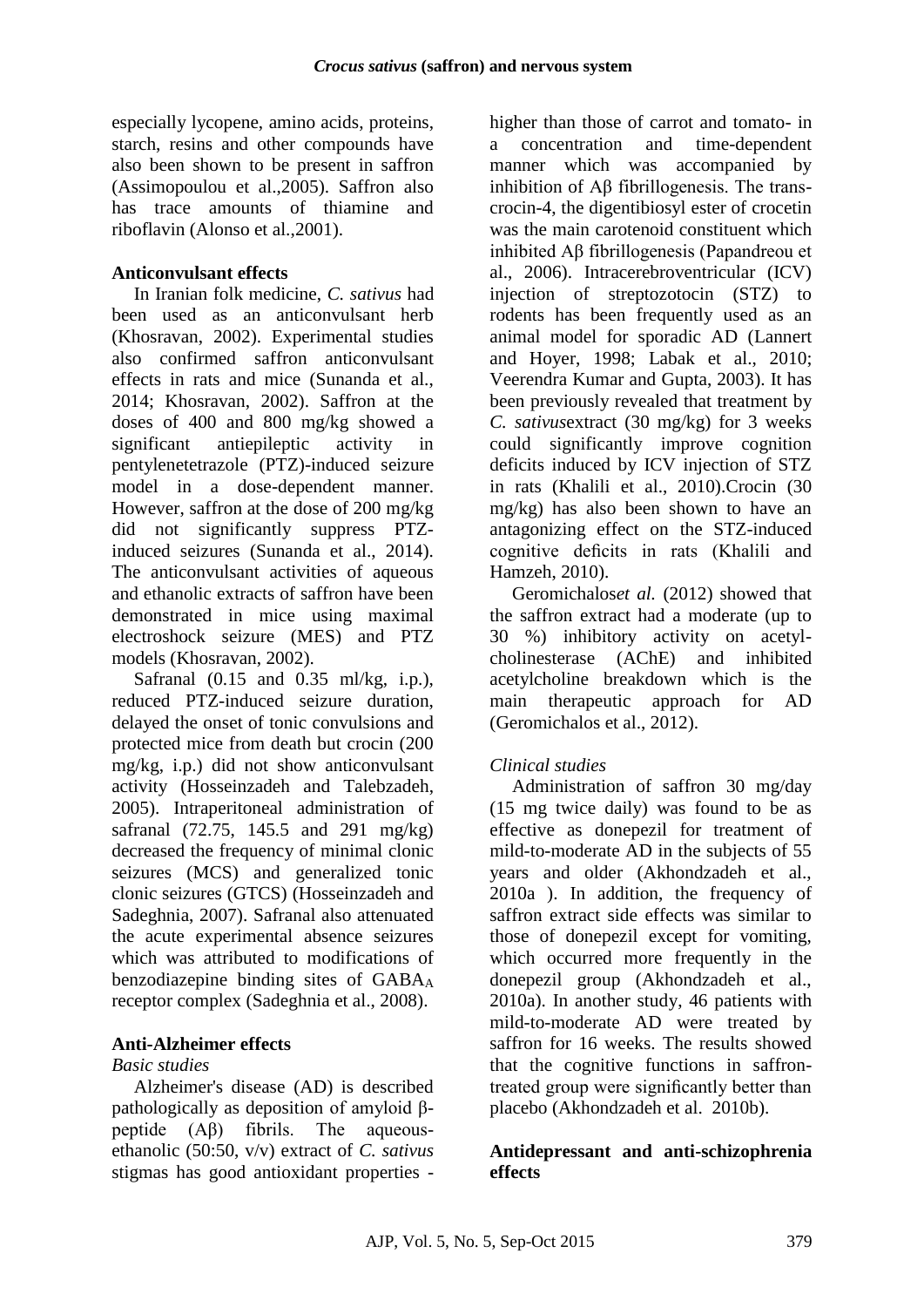especially lycopene, amino acids, proteins, starch, resins and other compounds have also been shown to be present in saffron (Assimopoulou et al.,2005). Saffron also has trace amounts of thiamine and riboflavin (Alonso et al.,2001).

#### **Anticonvulsant effects**

In Iranian folk medicine, *C. sativus* had been used as an anticonvulsant herb (Khosravan, 2002). Experimental studies also confirmed saffron anticonvulsant effects in rats and mice (Sunanda et al., 2014; Khosravan, 2002). Saffron at the doses of 400 and 800 mg/kg showed a significant antiepileptic activity in pentylenetetrazole (PTZ)-induced seizure model in a dose-dependent manner. However, saffron at the dose of 200 mg/kg did not significantly suppress PTZinduced seizures (Sunanda et al., 2014). The anticonvulsant activities of aqueous and ethanolic extracts of saffron have been demonstrated in mice using maximal electroshock seizure (MES) and PTZ models (Khosravan, 2002).

Safranal (0.15 and 0.35 ml/kg, i.p.), reduced PTZ-induced seizure duration, delayed the onset of tonic convulsions and protected mice from death but crocin (200 mg/kg, i.p.) did not show anticonvulsant activity (Hosseinzadeh and Talebzadeh, 2005). Intraperitoneal administration of safranal (72.75, 145.5 and 291 mg/kg) decreased the frequency of minimal clonic seizures (MCS) and generalized tonic clonic seizures (GTCS) (Hosseinzadeh and Sadeghnia, 2007). Safranal also attenuated the acute experimental absence seizures which was attributed to modifications of benzodiazepine binding sites of  $GABA_A$ receptor complex (Sadeghnia et al., 2008).

#### **Anti-Alzheimer effects**

#### *Basic studies*

Alzheimer's disease (AD) is described pathologically as deposition of amyloid βpeptide (Aβ) fibrils. The aqueousethanolic (50:50, v/v) extract of *C. sativus* stigmas has good antioxidant properties -

higher than those of carrot and tomato- in a concentration and time-dependent manner which was accompanied by inhibition of Aβ fibrillogenesis. The transcrocin-4, the digentibiosyl ester of crocetin was the main carotenoid constituent which inhibited Aβ fibrillogenesis (Papandreou et al., 2006). Intracerebroventricular (ICV) injection of streptozotocin (STZ) to rodents has been frequently used as an animal model for sporadic AD (Lannert and Hoyer, 1998; Labak et al., 2010; Veerendra Kumar and Gupta, 2003). It has been previously revealed that treatment by *C. sativus*extract (30 mg/kg) for 3 weeks could significantly improve cognition deficits induced by ICV injection of STZ in rats (Khalili et al., 2010).Crocin (30 mg/kg) has also been shown to have an antagonizing effect on the STZ-induced cognitive deficits in rats (Khalili and Hamzeh, 2010).

Geromichalos*et al.* (2012) showed that the saffron extract had a moderate (up to 30 %) inhibitory activity on acetylcholinesterase (AChE) and inhibited acetylcholine breakdown which is the main therapeutic approach for AD (Geromichalos et al., 2012).

#### *Clinical studies*

Administration of saffron 30 mg/day (15 mg twice daily) was found to be as effective as donepezil for treatment of mild-to-moderate AD in the subjects of 55 years and older (Akhondzadeh et al., 2010a ). In addition, the frequency of saffron extract side effects was similar to those of donepezil except for vomiting, which occurred more frequently in the donepezil group (Akhondzadeh et al., 2010a). In another study, 46 patients with mild-to-moderate AD were treated by saffron for 16 weeks. The results showed that the cognitive functions in saffrontreated group were significantly better than placebo (Akhondzadeh et al. 2010b).

#### **Antidepressant and anti-schizophrenia effects**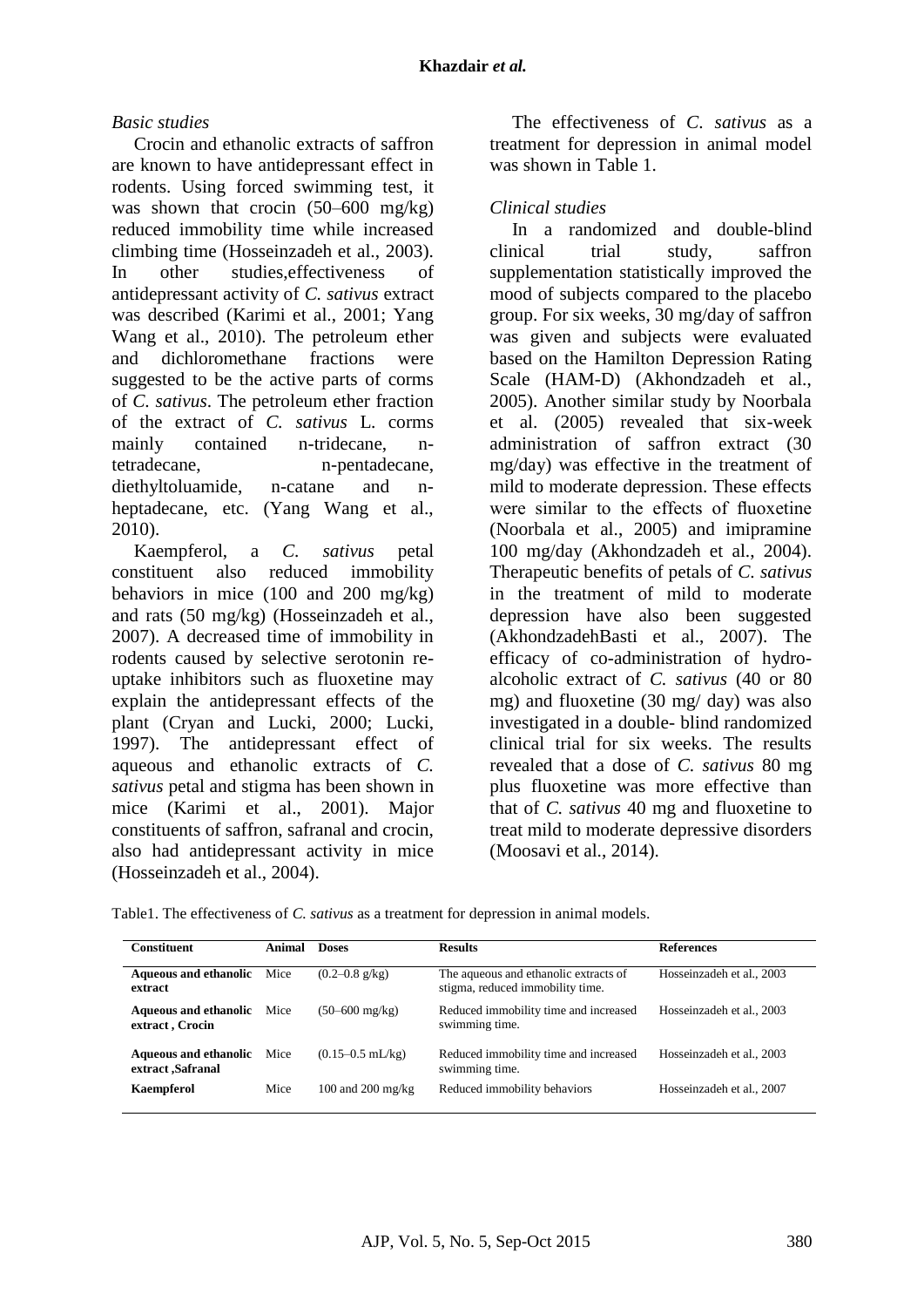#### *Basic studies*

Crocin and ethanolic extracts of saffron are known to have antidepressant effect in rodents. Using forced swimming test, it was shown that crocin (50–600 mg/kg) reduced immobility time while increased climbing time (Hosseinzadeh et al., 2003). In other studies,effectiveness of antidepressant activity of *C. sativus* extract was described (Karimi et al., 2001; Yang Wang et al., 2010). The petroleum ether and dichloromethane fractions were suggested to be the active parts of corms of *C. sativus*. The petroleum ether fraction of the extract of *C. sativus* L. corms mainly contained n-tridecane, ntetradecane, n-pentadecane, diethyltoluamide, n-catane and nheptadecane, etc. (Yang Wang et al., 2010).

Kaempferol, a *C. sativus* petal constituent also reduced immobility behaviors in mice (100 and 200 mg/kg) and rats (50 mg/kg) (Hosseinzadeh et al., 2007). A decreased time of immobility in rodents caused by selective serotonin reuptake inhibitors such as fluoxetine may explain the antidepressant effects of the plant (Cryan and Lucki, 2000; Lucki, 1997). The antidepressant effect of aqueous and ethanolic extracts of *C. sativus* petal and stigma has been shown in mice (Karimi et al., 2001). Major constituents of saffron, safranal and crocin, also had antidepressant activity in mice (Hosseinzadeh et al., 2004).

The effectiveness of *C. sativus* as a treatment for depression in animal model was shown in Table 1.

#### *Clinical studies*

In a randomized and double-blind clinical trial study, saffron supplementation statistically improved the mood of subjects compared to the placebo group. For six weeks, 30 mg/day of saffron was given and subjects were evaluated based on the Hamilton Depression Rating Scale (HAM-D) (Akhondzadeh et al., 2005). Another similar study by Noorbala et al. (2005) revealed that six-week administration of saffron extract (30 mg/day) was effective in the treatment of mild to moderate depression. These effects were similar to the effects of fluoxetine (Noorbala et al., 2005) and imipramine 100 mg/day (Akhondzadeh et al., 2004). Therapeutic benefits of petals of *C. sativus* in the treatment of mild to moderate depression have also been suggested (AkhondzadehBasti et al., 2007). The efficacy of co-administration of hydroalcoholic extract of *C. sativus* (40 or 80 mg) and fluoxetine (30 mg/ day) was also investigated in a double- blind randomized clinical trial for six weeks. The results revealed that a dose of *C. sativus* 80 mg plus fluoxetine was more effective than that of *C. sativus* 40 mg and fluoxetine to treat mild to moderate depressive disorders (Moosavi et al., 2014).

Table1. The effectiveness of *C. sativus* as a treatment for depression in animal models.

| <b>Constituent</b>                               | <b>Animal</b> | <b>Doses</b>               | <b>Results</b>                                                            | <b>References</b>         |
|--------------------------------------------------|---------------|----------------------------|---------------------------------------------------------------------------|---------------------------|
| <b>Aqueous and ethanolic</b><br>extract          | Mice          | $(0.2 - 0.8 \text{ g/kg})$ | The aqueous and ethanolic extracts of<br>stigma, reduced immobility time. | Hosseinzadeh et al., 2003 |
| <b>Aqueous and ethanolic</b><br>extract, Crocin  | Mice          | $(50 - 600 \text{ mg/kg})$ | Reduced immobility time and increased<br>swimming time.                   | Hosseinzadeh et al., 2003 |
| <b>Aqueous and ethanolic</b><br>extract Safranal | Mice          | $(0.15-0.5$ mL/kg)         | Reduced immobility time and increased<br>swimming time.                   | Hosseinzadeh et al., 2003 |
| Kaempferol                                       | Mice          | 100 and 200 mg/kg          | Reduced immobility behaviors                                              | Hosseinzadeh et al., 2007 |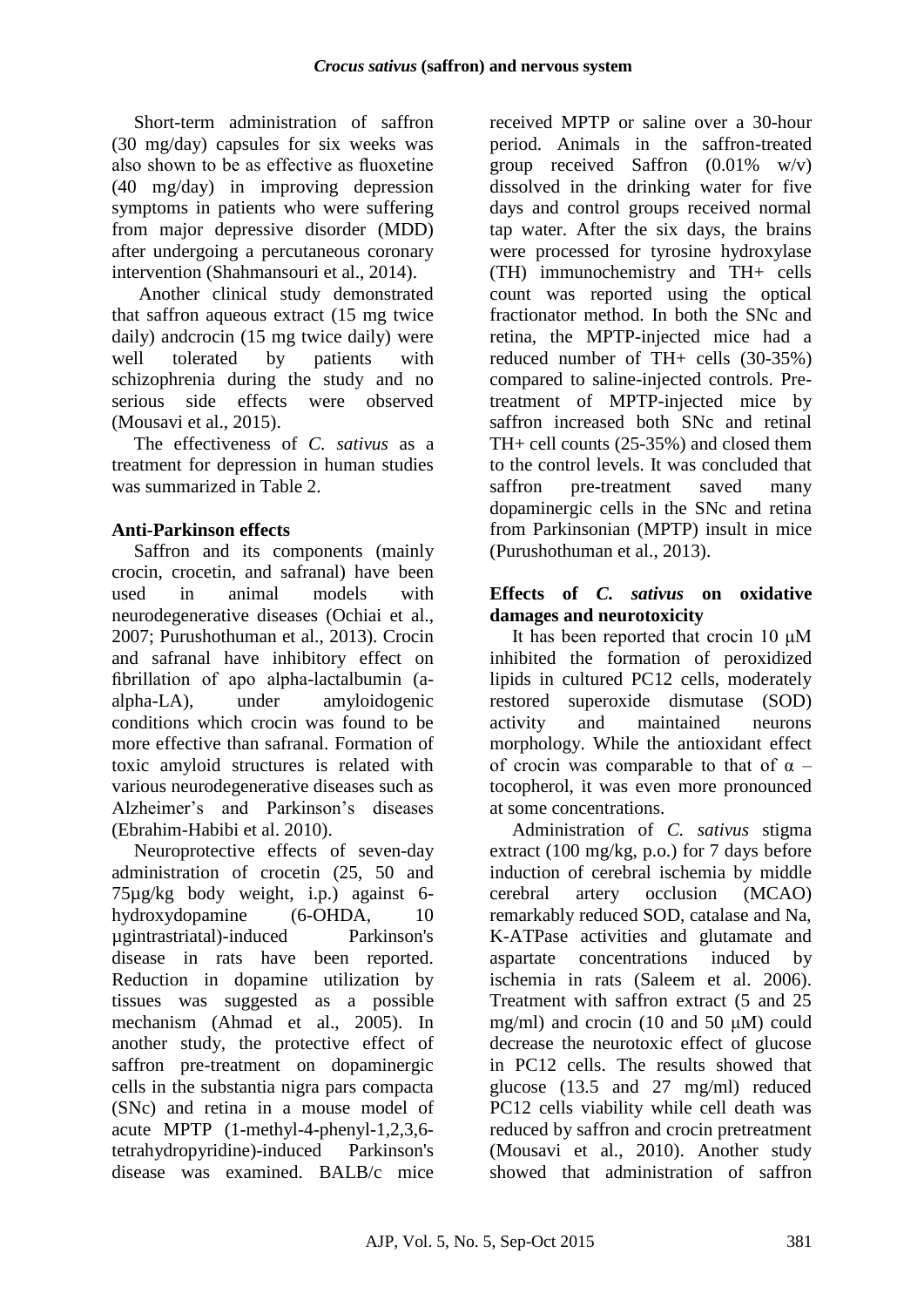Short-term administration of saffron (30 mg/day) capsules for six weeks was also shown to be as effective as fluoxetine (40 mg/day) in improving depression symptoms in patients who were suffering from major depressive disorder (MDD) after undergoing a percutaneous coronary intervention (Shahmansouri et al., 2014).

Another clinical study demonstrated that saffron aqueous extract (15 mg twice daily) andcrocin (15 mg twice daily) were well tolerated by patients with schizophrenia during the study and no serious side effects were observed (Mousavi et al., 2015).

The effectiveness of *C. sativus* as a treatment for depression in human studies was summarized in Table 2.

### **Anti-Parkinson effects**

Saffron and its components (mainly crocin, crocetin, and safranal) have been used in animal models with neurodegenerative diseases (Ochiai et al., 2007; Purushothuman et al., 2013). Crocin and safranal have inhibitory effect on fibrillation of apo alpha-lactalbumin (aalpha-LA), under amyloidogenic conditions which crocin was found to be more effective than safranal. Formation of toxic amyloid structures is related with various neurodegenerative diseases such as Alzheimer's and Parkinson's diseases (Ebrahim-Habibi et al. 2010).

Neuroprotective effects of seven-day administration of crocetin (25, 50 and 75µg/kg body weight, i.p.) against 6 hydroxydopamine (6-OHDA, 10 µgintrastriatal)-induced Parkinson's disease in rats have been reported. Reduction in dopamine utilization by tissues was suggested as a possible mechanism (Ahmad et al., 2005). In another study, the protective effect of saffron pre-treatment on dopaminergic cells in the substantia nigra pars compacta (SNc) and retina in a mouse model of acute MPTP (1-methyl-4-phenyl-1,2,3,6 tetrahydropyridine)-induced Parkinson's disease was examined. BALB/c mice

received MPTP or saline over a 30-hour period. Animals in the saffron-treated group received Saffron  $(0.01\% \text{ w/v})$ dissolved in the drinking water for five days and control groups received normal tap water. After the six days, the brains were processed for tyrosine hydroxylase (TH) immunochemistry and TH+ cells count was reported using the optical fractionator method. In both the SNc and retina, the MPTP-injected mice had a reduced number of TH+ cells (30-35%) compared to saline-injected controls. Pretreatment of MPTP-injected mice by saffron increased both SNc and retinal TH+ cell counts (25-35%) and closed them to the control levels. It was concluded that saffron pre-treatment saved many dopaminergic cells in the SNc and retina from Parkinsonian (MPTP) insult in mice (Purushothuman et al., 2013).

#### **Effects of** *C. sativus* **on oxidative damages and neurotoxicity**

It has been reported that crocin 10 μM inhibited the formation of peroxidized lipids in cultured PC12 cells, moderately restored superoxide dismutase (SOD) activity and maintained neurons morphology. While the antioxidant effect of crocin was comparable to that of  $\alpha$  – tocopherol, it was even more pronounced at some concentrations.

Administration of *C. sativus* stigma extract (100 mg/kg, p.o.) for 7 days before induction of cerebral ischemia by middle cerebral artery occlusion (MCAO) remarkably reduced SOD, catalase and Na, K-ATPase activities and glutamate and aspartate concentrations induced by ischemia in rats (Saleem et al. 2006). Treatment with saffron extract (5 and 25 mg/ml) and crocin (10 and 50  $\mu$ M) could decrease the neurotoxic effect of glucose in PC12 cells. The results showed that glucose (13.5 and 27 mg/ml) reduced PC12 cells viability while cell death was reduced by saffron and crocin pretreatment (Mousavi et al., 2010). Another study showed that administration of saffron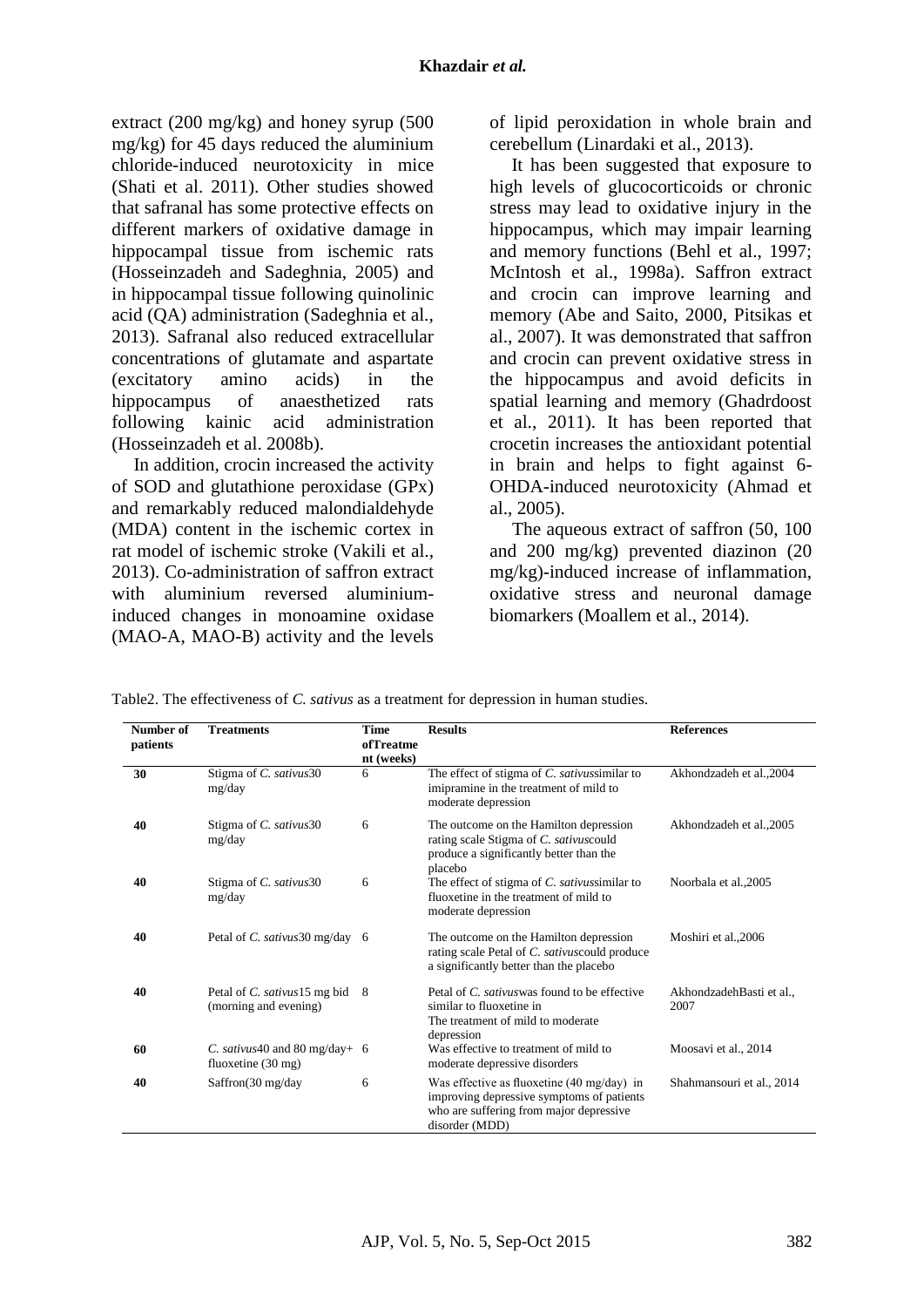extract (200 mg/kg) and honey syrup (500 mg/kg) for 45 days reduced the aluminium chloride-induced neurotoxicity in mice (Shati et al. 2011). Other studies showed that safranal has some protective effects on different markers of oxidative damage in hippocampal tissue from ischemic rats (Hosseinzadeh and Sadeghnia, 2005) and in hippocampal tissue following quinolinic acid (QA) administration (Sadeghnia et al., 2013). Safranal also reduced extracellular concentrations of glutamate and aspartate (excitatory amino acids) in the hippocampus of anaesthetized rats following kainic acid administration (Hosseinzadeh et al. 2008b).

In addition, crocin increased the activity of SOD and glutathione peroxidase (GPx) and remarkably reduced malondialdehyde (MDA) content in the ischemic cortex in rat model of ischemic stroke (Vakili et al., 2013). Co-administration of saffron extract with aluminium reversed aluminiuminduced changes in monoamine oxidase (MAO-A, MAO-B) activity and the levels

of lipid peroxidation in whole brain and cerebellum (Linardaki et al., 2013).

It has been suggested that exposure to high levels of glucocorticoids or chronic stress may lead to oxidative injury in the hippocampus, which may impair learning and memory functions [\(Behl et al., 1997;](http://www.sciencedirect.com/science/article/pii/S0014299911005395#bb0040) [McIntosh et al., 1998a\)](http://www.sciencedirect.com/science/article/pii/S0014299911005395#bb0190). Saffron extract and crocin can improve learning and memory [\(Abe and Saito, 2000,](http://www.sciencedirect.com/science/article/pii/S0014299911005395#bb0010) [Pitsikas et](http://www.sciencedirect.com/science/article/pii/S0014299911005395#bb0265)  [al., 2007\)](http://www.sciencedirect.com/science/article/pii/S0014299911005395#bb0265). It was demonstrated that saffron and crocin can prevent oxidative stress in the hippocampus and avoid deficits in spatial learning and memory (Ghadrdoost et al., 2011). It has been reported that crocetin increases the antioxidant potential in brain and helps to fight against 6- OHDA-induced neurotoxicity (Ahmad et al., 2005).

The aqueous extract of saffron (50, 100 and 200 mg/kg) prevented diazinon (20 mg/kg)-induced increase of inflammation, oxidative stress and neuronal damage biomarkers (Moallem et al., 2014).

**Number of patients Treatments Time ofTreatme nt (weeks) Results References 30** Stigma of *C. sativus*30 mg/day 6 The effect of stigma of *C. sativus*similar to imipramine in the treatment of mild to moderate depression Akhondzadeh et al.,2004 **40** Stigma of *C. sativus*30 mg/day 6 The outcome on the Hamilton depression rating scale Stigma of *C. sativus*could produce a significantly better than the placebo Akhondzadeh et al.,2005 **40** Stigma of *C. sativus*30 mg/day 6 The effect of stigma of *C. sativus*similar to fluoxetine in the treatment of mild to moderate depression Noorbala et al.,2005 **40** Petal of *C. sativus*30 mg/day 6 The outcome on the Hamilton depression rating scale Petal of *C. sativus*could produce a significantly better than the placebo Moshiri et al.,2006 **40** Petal of *C. sativus*15 mg bid (morning and evening) 8 Petal of *C. sativus*was found to be effective similar to fluoxetine in The treatment of mild to moderate depression AkhondzadehBasti et al., 2007 **60** *C. sativus*40 and 80 mg/day+ fluoxetine (30 mg) 6 Was effective to treatment of mild to moderate depressive disorders Moosavi et al., 2014 **40** Saffron(30 mg/day 6 Was effective as fluoxetine (40 mg/day) in improving depressive symptoms of patients who are suffering from major depressive disorder (MDD) Shahmansouri et al., 2014

Table2. The effectiveness of *C. sativus* as a treatment for depression in human studies.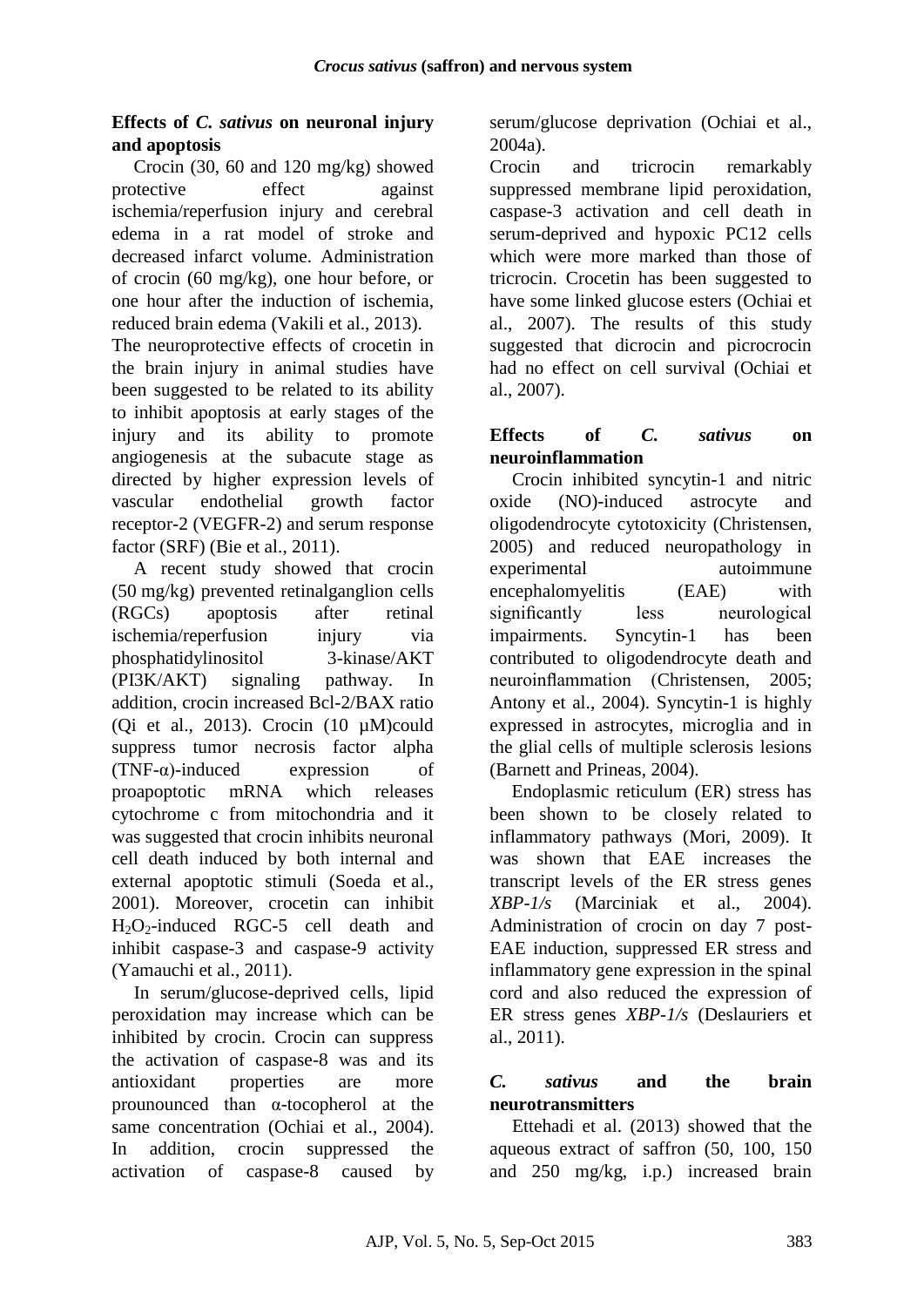### **Effects of** *C. sativus* **on neuronal injury and apoptosis**

Crocin (30, 60 and 120 mg/kg) showed protective effect against ischemia/reperfusion injury and cerebral edema in a rat model of stroke and decreased infarct volume. Administration of crocin (60 mg/kg), one hour before, or one hour after the induction of ischemia, reduced brain edema (Vakili et al., 2013).

The neuroprotective effects of crocetin in the brain injury in animal studies have been suggested to be related to its ability to inhibit apoptosis at early stages of the injury and its ability to promote angiogenesis at the subacute stage as directed by higher expression levels of vascular endothelial growth factor receptor-2 (VEGFR-2) and serum response factor (SRF) (Bie et al., 2011).

A recent study showed that crocin (50 mg/kg) prevented [retinalganglion cells](javascript:void(0);) (RGCs) apoptosis after retinal ischemia/reperfusion injury via phosphatidylinositol 3[-kinase/AKT](javascript:void(0);) [\(PI3K/](javascript:void(0);)AKT) signaling pathway. In addition, crocin increased Bcl-2/BAX ratio (Qi et al., 2013). Crocin (10 µM)could suppress tumor necrosis factor alpha (TNF-α)-induced expression of proapoptotic mRNA which releases cytochrome c from mitochondria and it was suggested that crocin inhibits neuronal cell death induced by both internal and external apoptotic stimuli [\(Soeda et](http://www.sciencedirect.com/science/article/pii/S0014483512003387#bib42) al., [2001\)](http://www.sciencedirect.com/science/article/pii/S0014483512003387#bib42). Moreover, crocetin can inhibit  $H_2O_2$ -induced RGC-5 cell death and inhibit caspase-3 and caspase-9 activity [\(Yamauchi](http://www.sciencedirect.com/science/article/pii/S0014483512003387#bib47) et al., 2011).

In serum/glucose-deprived cells, lipid peroxidation may increase which can be inhibited by crocin. Crocin can suppress the activation of caspase-8 was and its antioxidant properties are more prounounced than α-tocopherol at the same concentration [\(Ochiai et al., 2004\)](http://www.sciencedirect.com/science/article/pii/S0304416506003734#bib16). In addition, crocin suppressed the activation of caspase-8 caused by serum/glucose deprivation (Ochiai et al., 2004a).

Crocin and tricrocin remarkably suppressed membrane lipid peroxidation, caspase-3 activation and cell death in serum-deprived and hypoxic PC12 cells which were more marked than those of tricrocin. Crocetin has been suggested to have some linked glucose esters (Ochiai et al., 2007). The results of this study suggested that dicrocin and picrocrocin had no effect on cell survival (Ochiai et al., 2007).

#### **Effects of** *C. sativus* **on neuroinflammation**

Crocin inhibited syncytin-1 and nitric oxide (NO)-induced astrocyte and oligodendrocyte cytotoxicity (Christensen, 2005) and reduced neuropathology in experimental autoimmune encephalomyelitis (EAE) with significantly less neurological impairments. Syncytin-1 has been contributed to oligodendrocyte death and neuroinflammation (Christensen, 2005; Antony et al., 2004). Syncytin-1 is highly expressed in astrocytes, microglia and in the glial cells of multiple sclerosis lesions (Barnett and Prineas, 2004).

Endoplasmic reticulum (ER) stress has been shown to be closely related to inflammatory pathways (Mori, 2009). It was shown that EAE increases the transcript levels of the ER stress genes *XBP-1/s* (Marciniak et al., 2004). Administration of crocin on day 7 post-EAE induction, suppressed ER stress and inflammatory gene expression in the spinal cord and also reduced the expression of ER stress genes *XBP-1/s* (Deslauriers et al., 2011).

#### *C. sativus* **and the brain neurotransmitters**

Ettehadi et al. (2013) showed that the aqueous extract of saffron (50, 100, 150 and 250 mg/kg, i.p.) increased brain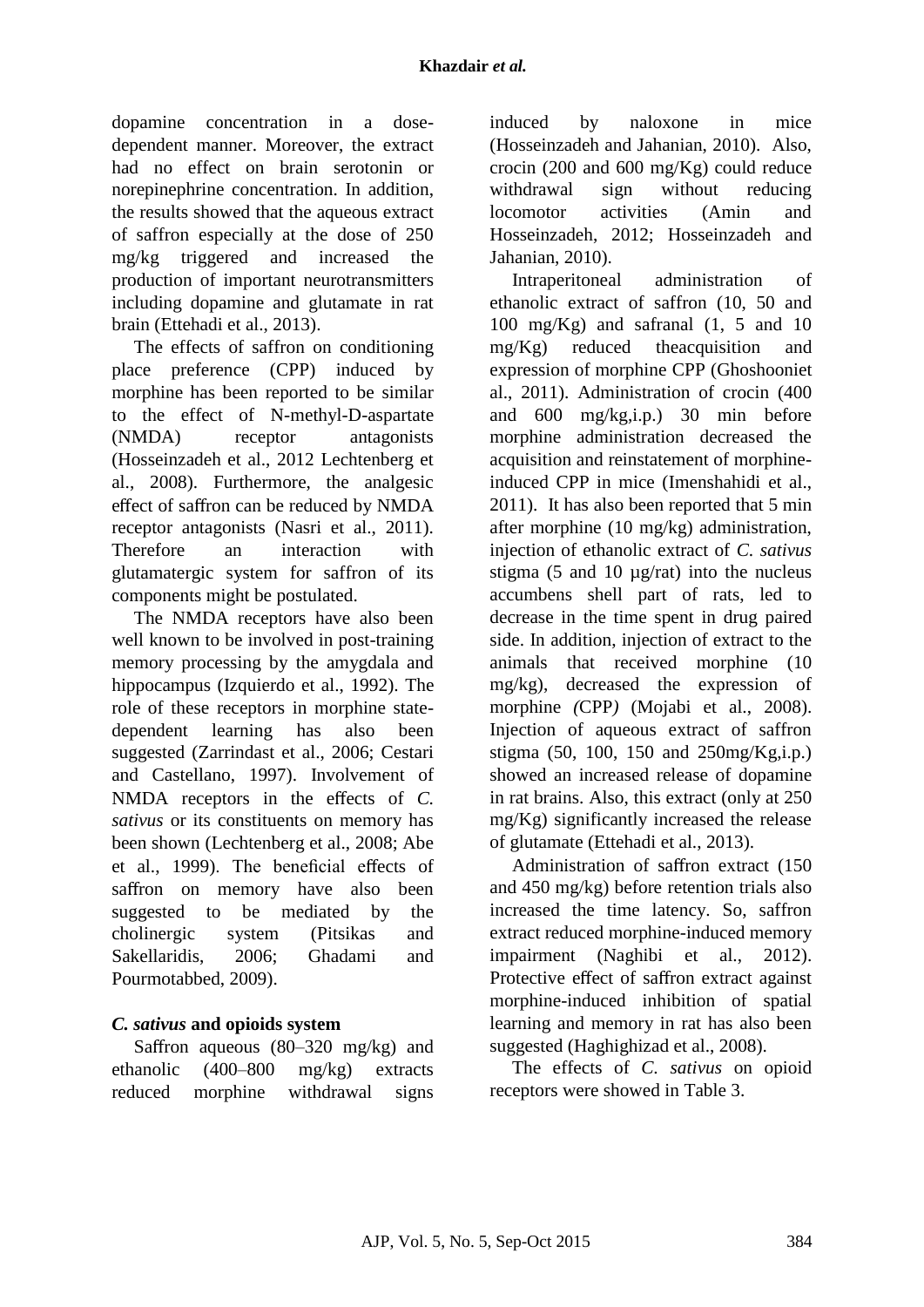dopamine concentration in a dosedependent manner. Moreover, the extract had no effect on brain serotonin or norepinephrine concentration. In addition, the results showed that the aqueous extract of saffron especially at the dose of 250 mg/kg triggered and increased the production of important neurotransmitters including dopamine and glutamate in rat brain (Ettehadi et al., 2013).

The effects of saffron on conditioning place preference (CPP) induced by morphine has been reported to be similar to the effect of N-methyl-D-aspartate (NMDA) receptor antagonists (Hosseinzadeh et al., 2012 Lechtenberg et al., 2008). Furthermore, the analgesic effect of saffron can be reduced by NMDA receptor antagonists (Nasri et al., 2011). Therefore an interaction with glutamatergic system for saffron of its components might be postulated.

The NMDA receptors have also been well known to be involved in post-training memory processing by the amygdala and hippocampus (Izquierdo et al., 1992). The role of these receptors in morphine statedependent learning has also been suggested (Zarrindast et al., 2006; Cestari and Castellano, 1997). Involvement of NMDA receptors in the effects of *C. sativus* or its constituents on memory has been shown (Lechtenberg et al., 2008; Abe et al., 1999). The beneficial effects of saffron on memory have also been suggested to be mediated by the cholinergic system (Pitsikas and Sakellaridis, 2006; Ghadami and Pourmotabbed, 2009).

## *C. sativus* **and opioids system**

Saffron aqueous (80–320 mg/kg) and ethanolic (400–800 mg/kg) extracts reduced morphine withdrawal signs induced by naloxone in mice (Hosseinzadeh and Jahanian, 2010). Also, crocin (200 and 600 mg/Kg) could reduce withdrawal sign without reducing locomotor activities (Amin and Hosseinzadeh, 2012; Hosseinzadeh and Jahanian, 2010).

Intraperitoneal administration of ethanolic extract of saffron (10, 50 and 100 mg/Kg) and safranal (1, 5 and 10 mg/Kg) reduced theacquisition and expression of morphine CPP (Ghoshooniet al., 2011). Administration of crocin (400 and 600 mg/kg,i.p.) 30 min before morphine administration decreased the acquisition and reinstatement of morphineinduced CPP in mice (Imenshahidi et al., 2011). It has also been reported that 5 min after morphine (10 mg/kg) administration, injection of ethanolic extract of *C. sativus* stigma (5 and 10  $\mu$ g/rat) into the nucleus accumbens shell part of rats, led to decrease in the time spent in drug paired side. In addition, injection of extract to the animals that received morphine (10 mg/kg), decreased the expression of morphine *(*CPP*)* (Mojabi et al., 2008). Injection of aqueous extract of saffron stigma (50, 100, 150 and  $250mg/Kg,i.p.)$ showed an increased release of dopamine in rat brains. Also, this extract (only at 250 mg/Kg) significantly increased the release of glutamate (Ettehadi et al., 2013).

Administration of saffron extract (150 and 450 mg/kg) before retention trials also increased the time latency. So, saffron extract reduced morphine-induced memory impairment (Naghibi et al., 2012). Protective effect of saffron extract against morphine-induced inhibition of spatial learning and memory in rat has also been suggested (Haghighizad et al., 2008).

The effects of *C. sativus* on opioid receptors were showed in Table 3.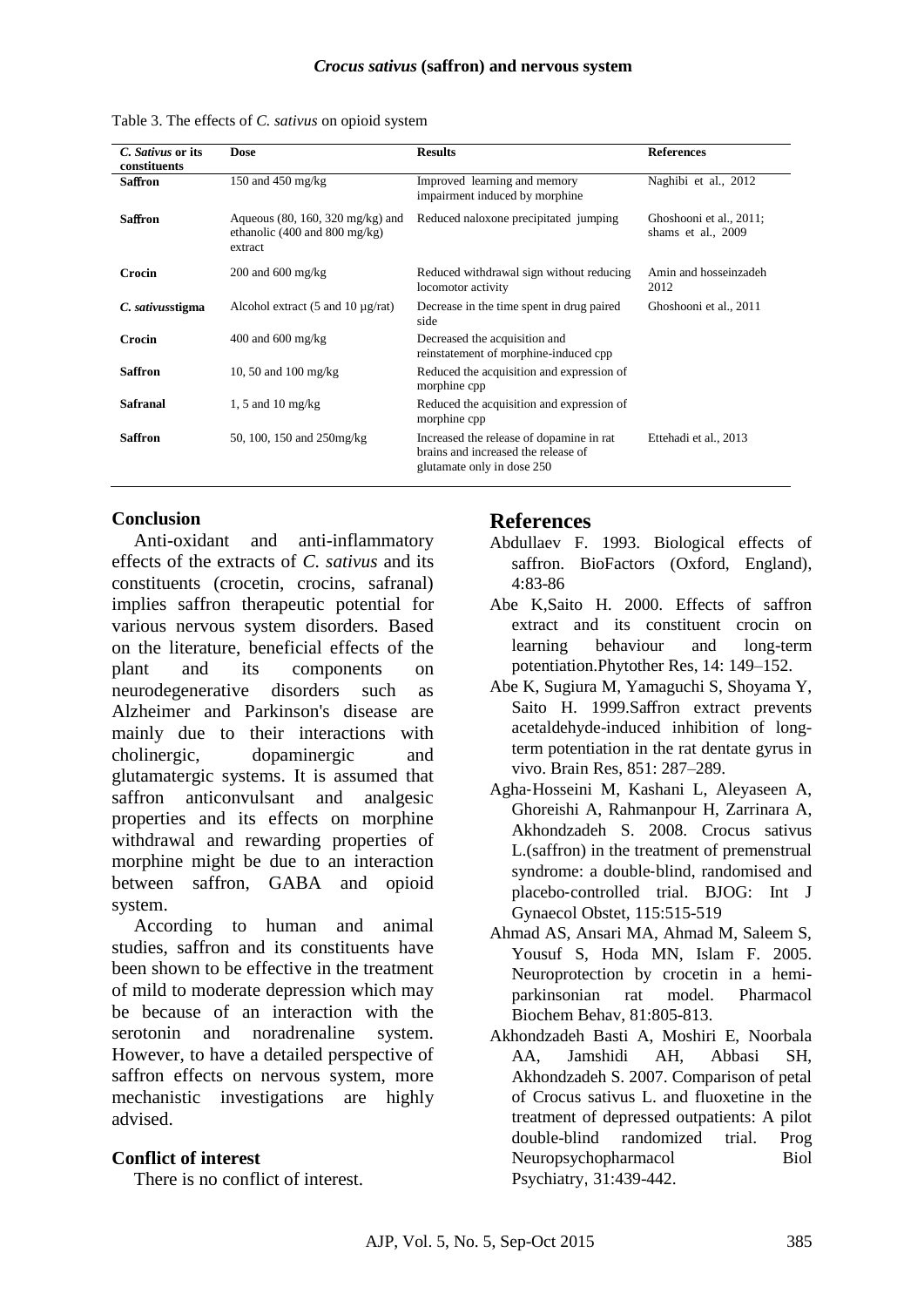| C. Sativus or its | Dose                                                                                                      | <b>Results</b>                                                                                                | <b>References</b>                             |
|-------------------|-----------------------------------------------------------------------------------------------------------|---------------------------------------------------------------------------------------------------------------|-----------------------------------------------|
| constituents      |                                                                                                           |                                                                                                               |                                               |
| <b>Saffron</b>    | 150 and 450 mg/kg                                                                                         | Improved learning and memory<br>impairment induced by morphine                                                | Naghibi et al., 2012                          |
| <b>Saffron</b>    | Aqueous $(80, 160, 320 \text{ mg/kg})$ and<br>ethanolic $(400 \text{ and } 800 \text{ mg/kg})$<br>extract | Reduced naloxone precipitated jumping                                                                         | Ghoshooni et al., 2011;<br>shams et al., 2009 |
| Crocin            | $200$ and $600$ mg/kg                                                                                     | Reduced withdrawal sign without reducing<br>locomotor activity                                                | Amin and hosseinzadeh<br>2012                 |
| C. sativusstigma  | Alcohol extract $(5 \text{ and } 10 \text{ µg/rat})$                                                      | Decrease in the time spent in drug paired<br>side                                                             | Ghoshooni et al., 2011                        |
| Crocin            | $400$ and $600$ mg/kg                                                                                     | Decreased the acquisition and<br>reinstatement of morphine-induced cpp                                        |                                               |
| <b>Saffron</b>    | 10, 50 and 100 mg/kg                                                                                      | Reduced the acquisition and expression of<br>morphine cpp                                                     |                                               |
| Safranal          | 1, 5 and 10 mg/kg                                                                                         | Reduced the acquisition and expression of<br>morphine cpp                                                     |                                               |
| <b>Saffron</b>    | 50, 100, 150 and 250mg/kg                                                                                 | Increased the release of dopamine in rat<br>brains and increased the release of<br>glutamate only in dose 250 | Ettehadi et al., 2013                         |

Table 3. The effects of *C. sativus* on opioid system

#### **Conclusion**

Anti-oxidant and anti-inflammatory effects of the extracts of *C. sativus* and its constituents (crocetin, crocins, safranal) implies saffron therapeutic potential for various nervous system disorders. Based on the literature, beneficial effects of the plant and its components on neurodegenerative disorders such as Alzheimer and Parkinson's disease are mainly due to their interactions with cholinergic, dopaminergic and glutamatergic systems. It is assumed that saffron anticonvulsant and analgesic properties and its effects on morphine withdrawal and rewarding properties of morphine might be due to an interaction between saffron, GABA and opioid system.

According to human and animal studies, saffron and its constituents have been shown to be effective in the treatment of mild to moderate depression which may be because of an interaction with the serotonin and noradrenaline system. However, to have a detailed perspective of saffron effects on nervous system, more mechanistic investigations are highly advised.

#### **Conflict of interest**

There is no conflict of interest.

## **References**

- Abdullaev F. 1993. Biological effects of saffron. BioFactors (Oxford, England), 4:83-86
- Abe K,Saito H. 2000. Effects of saffron extract and its constituent crocin on learning behaviour and long-term potentiation.Phytother Res, 14: 149–152.
- Abe K, Sugiura M, Yamaguchi S, Shoyama Y, Saito H. 1999.Saffron extract prevents acetaldehyde-induced inhibition of longterm potentiation in the rat dentate gyrus in vivo. Brain Res, 851: 287–289.
- Agha‐Hosseini M, Kashani L, Aleyaseen A, Ghoreishi A, Rahmanpour H, Zarrinara A, Akhondzadeh S. 2008. Crocus sativus L.(saffron) in the treatment of premenstrual syndrome: a double‐blind, randomised and placebo‐controlled trial. BJOG: Int J Gynaecol Obstet, 115:515-519
- Ahmad AS, Ansari MA, Ahmad M, Saleem S, Yousuf S, Hoda MN, Islam F. 2005. [Neuroprotection by crocetin in a hemi](http://www.ncbi.nlm.nih.gov/pubmed/16005057)[parkinsonian rat model.](http://www.ncbi.nlm.nih.gov/pubmed/16005057) Pharmacol Biochem Behav, 81:805-813.
- Akhondzadeh Basti A, Moshiri E, Noorbala AA, Jamshidi AH, Abbasi SH, Akhondzadeh S. 2007. Comparison of petal of Crocus sativus L. and fluoxetine in the treatment of depressed outpatients: A pilot double-blind randomized trial. Prog Neuropsychopharmacol Biol Psychiatry, 31:439-442.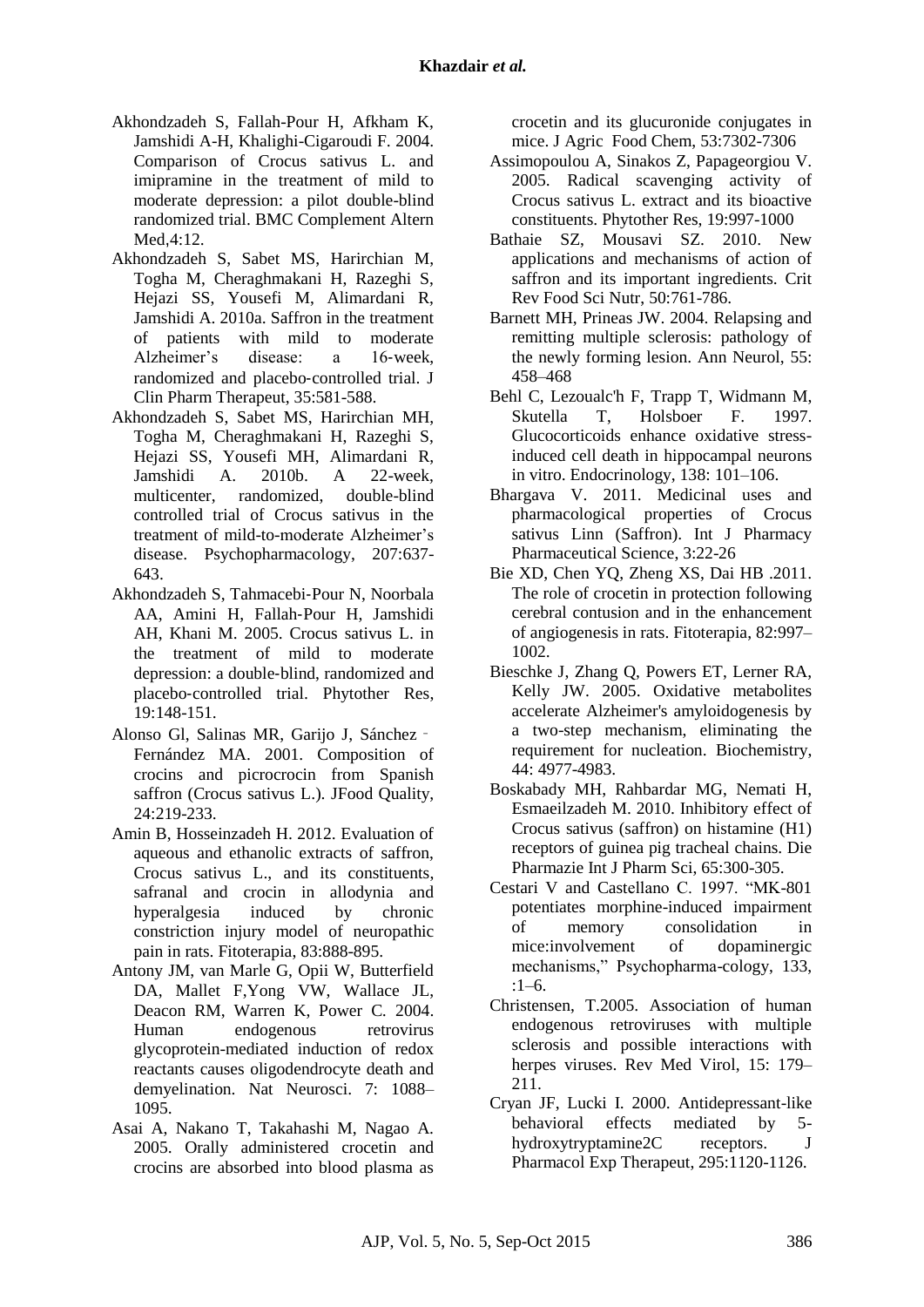- Akhondzadeh S, Fallah-Pour H, Afkham K, Jamshidi A-H, Khalighi-Cigaroudi F. 2004. Comparison of Crocus sativus L. and imipramine in the treatment of mild to moderate depression: a pilot double-blind randomized trial. [BMC Complement Altern](http://www.ncbi.nlm.nih.gov/pubmed/15341662)  [Med](http://www.ncbi.nlm.nih.gov/pubmed/15341662),4:12.
- Akhondzadeh S, Sabet MS, Harirchian M, Togha M, Cheraghmakani H, Razeghi S, Hejazi SS, Yousefi M, Alimardani R, Jamshidi A. 2010a. Saffron in the treatment of patients with mild to moderate Alzheimer's disease: a 16‐week, randomized and placebo‐controlled trial. J Clin Pharm Therapeut, 35:581-588.
- Akhondzadeh S, Sabet MS, Harirchian MH, Togha M, Cheraghmakani H, Razeghi S, Hejazi SS, Yousefi MH, Alimardani R, Jamshidi A. 2010b. A 22-week, multicenter, randomized, double-blind controlled trial of Crocus sativus in the treatment of mild-to-moderate Alzheimer's disease. Psychopharmacology, 207:637- 643.
- Akhondzadeh S, Tahmacebi‐Pour N, Noorbala AA, Amini H, Fallah‐Pour H, Jamshidi AH, Khani M. 2005. Crocus sativus L. in the treatment of mild to moderate depression: a double‐blind, randomized and placebo‐controlled trial. Phytother Res, 19:148-151.
- Alonso Gl, Salinas MR, Garijo J, Sánchez‐ Fernández MA. 2001. Composition of crocins and picrocrocin from Spanish saffron (Crocus sativus L.). JFood Quality, 24:219-233.
- Amin B, Hosseinzadeh H. 2012. Evaluation of aqueous and ethanolic extracts of saffron, Crocus sativus L., and its constituents, safranal and crocin in allodynia and hyperalgesia induced by chronic constriction injury model of neuropathic pain in rats. Fitoterapia, 83:888-895.
- Antony JM, van Marle G, Opii W, Butterfield DA, Mallet F,Yong VW, Wallace JL, Deacon RM, Warren K, Power C*.* 2004. Human endogenous retrovirus glycoprotein-mediated induction of redox reactants causes oligodendrocyte death and demyelination. Nat Neurosci. 7: 1088– 1095.
- Asai A, Nakano T, Takahashi M, Nagao A. 2005. Orally administered crocetin and crocins are absorbed into blood plasma as

crocetin and its glucuronide conjugates in mice. J Agric Food Chem, 53:7302-7306

- Assimopoulou A, Sinakos Z, Papageorgiou V. 2005. Radical scavenging activity of Crocus sativus L. extract and its bioactive constituents. Phytother Res, 19:997-1000
- Bathaie SZ, Mousavi SZ. 2010. New applications and mechanisms of action of saffron and its important ingredients. Crit Rev Food Sci Nutr, 50:761-786.
- Barnett MH, Prineas JW. 2004. Relapsing and remitting multiple sclerosis: pathology of the newly forming lesion. Ann Neurol, 55: 458–468
- [Behl C,](http://www.ncbi.nlm.nih.gov/pubmed/?term=Behl%20C%5BAuthor%5D&cauthor=true&cauthor_uid=8977391) [Lezoualc'h F,](http://www.ncbi.nlm.nih.gov/pubmed/?term=Lezoualc) [Trapp](http://www.ncbi.nlm.nih.gov/pubmed/?term=Trapp%20T%5BAuthor%5D&cauthor=true&cauthor_uid=8977391) T, [Widmann M,](http://www.ncbi.nlm.nih.gov/pubmed/?term=Widmann%20M%5BAuthor%5D&cauthor=true&cauthor_uid=8977391) [Skutella T,](http://www.ncbi.nlm.nih.gov/pubmed/?term=Skutella%20T%5BAuthor%5D&cauthor=true&cauthor_uid=8977391) [Holsboer F.](http://www.ncbi.nlm.nih.gov/pubmed/?term=Holsboer%20F%5BAuthor%5D&cauthor=true&cauthor_uid=8977391) 1997. Glucocorticoids enhance oxidative stressinduced cell death in hippocampal neurons in vitro. Endocrinology, 138: 101–106.
- Bhargava V. 2011. Medicinal uses and pharmacological properties of Crocus sativus Linn (Saffron). Int J Pharmacy Pharmaceutical Science, 3:22-26
- Bie XD, Chen YQ, Zheng XS, Dai HB .2011. The role of crocetin in protection following cerebral contusion and in the enhancement of angiogenesis in rats. Fitoterapia, 82:997– 1002.
- Bieschke J, Zhang Q, Powers ET, Lerner RA, Kelly JW. 2005. Oxidative metabolites accelerate Alzheimer's amyloidogenesis by a two-step mechanism, eliminating the requirement for nucleation. Biochemistry, 44: 4977-4983.
- Boskabady MH, Rahbardar MG, Nemati H, Esmaeilzadeh M. 2010. Inhibitory effect of Crocus sativus (saffron) on histamine (H1) receptors of guinea pig tracheal chains. Die Pharmazie Int J Pharm Sci, 65:300-305.
- Cestari V and Castellano C. 1997. "MK-801 potentiates morphine-induced impairment of memory consolidation in mice:involvement of dopaminergic mechanisms," Psychopharma-cology, 133, :1–6.
- Christensen, T.2005. Association of human endogenous retroviruses with multiple sclerosis and possible interactions with herpes viruses. Rev Med Virol, 15: 179– 211.
- Cryan JF, Lucki I. 2000. Antidepressant-like behavioral effects mediated by 5 hydroxytryptamine2C receptors. J Pharmacol Exp Therapeut, 295:1120-1126.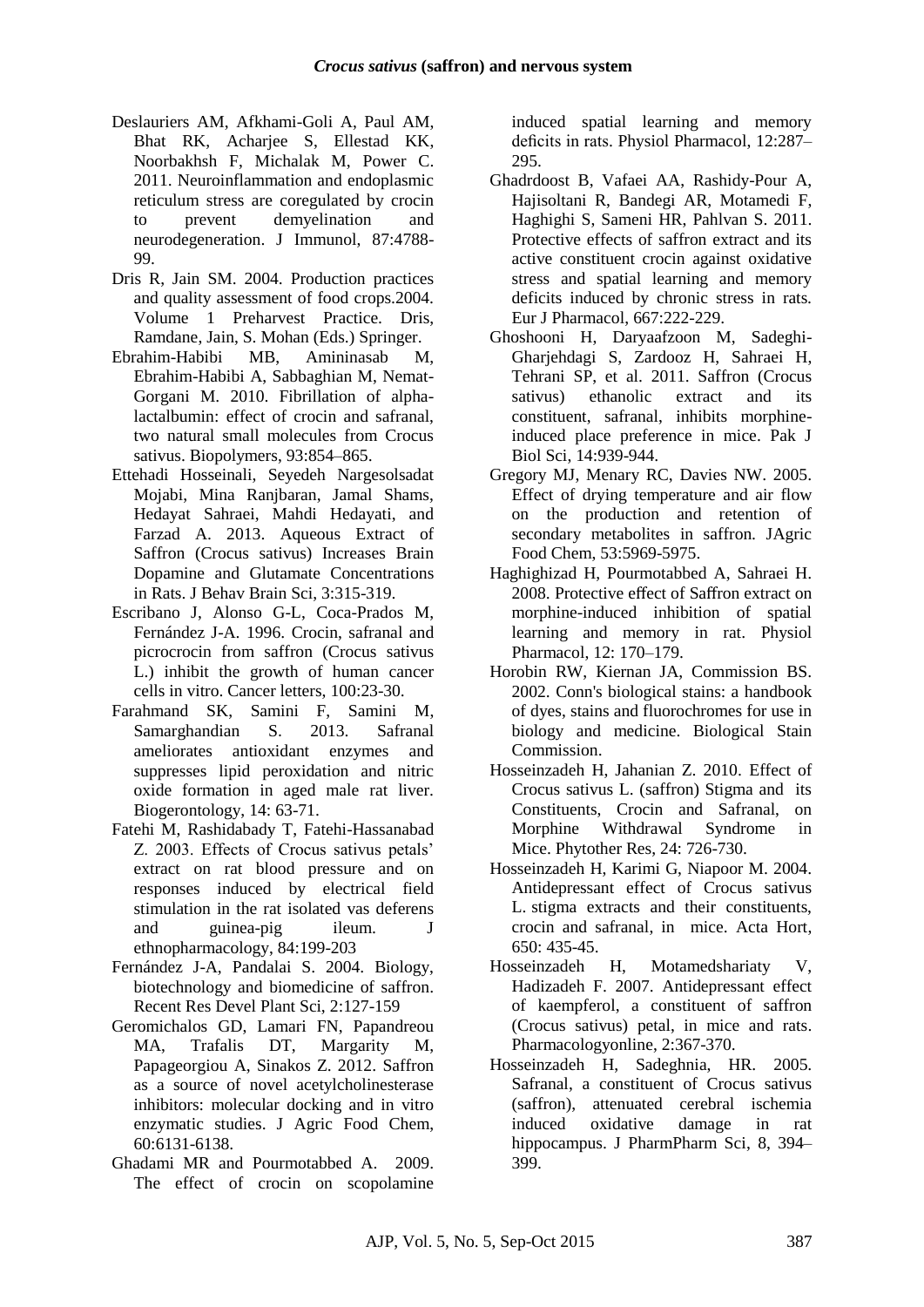- [Deslauriers AM,](http://www.ncbi.nlm.nih.gov/pubmed/?term=Deslauriers%20AM%5BAuthor%5D&cauthor=true&cauthor_uid=21964030) [Afkhami-Goli A,](http://www.ncbi.nlm.nih.gov/pubmed/?term=Afkhami-Goli%20A%5BAuthor%5D&cauthor=true&cauthor_uid=21964030) [Paul AM,](http://www.ncbi.nlm.nih.gov/pubmed/?term=Paul%20AM%5BAuthor%5D&cauthor=true&cauthor_uid=21964030) [Bhat RK,](http://www.ncbi.nlm.nih.gov/pubmed/?term=Bhat%20RK%5BAuthor%5D&cauthor=true&cauthor_uid=21964030) [Acharjee S,](http://www.ncbi.nlm.nih.gov/pubmed/?term=Acharjee%20S%5BAuthor%5D&cauthor=true&cauthor_uid=21964030) [Ellestad KK,](http://www.ncbi.nlm.nih.gov/pubmed/?term=Ellestad%20KK%5BAuthor%5D&cauthor=true&cauthor_uid=21964030) [Noorbakhsh F,](http://www.ncbi.nlm.nih.gov/pubmed/?term=Noorbakhsh%20F%5BAuthor%5D&cauthor=true&cauthor_uid=21964030) [Michalak M,](http://www.ncbi.nlm.nih.gov/pubmed/?term=Michalak%20M%5BAuthor%5D&cauthor=true&cauthor_uid=21964030) [Power C.](http://www.ncbi.nlm.nih.gov/pubmed/?term=Power%20C%5BAuthor%5D&cauthor=true&cauthor_uid=21964030) 2011. Neuroinflammation and endoplasmic reticulum stress are coregulated by crocin to prevent demyelination and neurodegeneration. [J Immunol,](http://www.ncbi.nlm.nih.gov/pubmed/21964030) 87:4788- 99.
- Dris R, Jain SM. 2004. Production practices and quality assessment of food crops.2004. Volume 1 Preharvest Practice. Dris, Ramdane, Jain, S. Mohan (Eds.) Springer.
- Ebrahim-Habibi MB, Amininasab M, Ebrahim-Habibi A, Sabbaghian M, Nemat-Gorgani M. 2010. Fibrillation of alphalactalbumin: effect of crocin and safranal, two natural small molecules from Crocus sativus. Biopolymers, 93:854–865.
- Ettehadi Hosseinali, Seyedeh Nargesolsadat Mojabi, Mina Ranjbaran, Jamal Shams, Hedayat Sahraei, Mahdi Hedayati, and Farzad A. 2013. Aqueous Extract of Saffron (Crocus sativus) Increases Brain Dopamine and Glutamate Concentrations in Rats. J Behav Brain Sci, 3:315-319.
- Escribano J, Alonso G-L, Coca-Prados M, Fernández J-A. 1996. Crocin, safranal and picrocrocin from saffron (Crocus sativus L.) inhibit the growth of human cancer cells in vitro. Cancer letters, 100:23-30.
- [Farahmand SK,](http://www.ncbi.nlm.nih.gov/pubmed/?term=Farahmand%20SK%5BAuthor%5D&cauthor=true&cauthor_uid=23179288) Samini F. Samini M. [Samarghandian S](http://www.ncbi.nlm.nih.gov/pubmed/?term=Samarghandian%20S%5BAuthor%5D&cauthor=true&cauthor_uid=23179288). 2013. Safranal ameliorates antioxidant enzymes and suppresses lipid peroxidation and nitric oxide formation in aged male rat liver. Biogerontology, 14: 63-71.
- Fatehi M, Rashidabady T, Fatehi-Hassanabad Z. 2003. Effects of Crocus sativus petals' extract on rat blood pressure and on responses induced by electrical field stimulation in the rat isolated vas deferens and guinea-pig ileum. J ethnopharmacology, 84:199-203
- Fernández J-A, Pandalai S. 2004. Biology, biotechnology and biomedicine of saffron. Recent Res Devel Plant Sci, 2:127-159
- Geromichalos GD, Lamari FN, Papandreou MA, Trafalis DT, Margarity M, Papageorgiou A, Sinakos Z. 2012. Saffron as a source of novel acetylcholinesterase inhibitors: molecular docking and in vitro enzymatic studies. J Agric Food Chem, 60:6131-6138.
- Ghadami MR and Pourmotabbed A. 2009. The effect of crocin on scopolamine

induced spatial learning and memory deficits in rats. Physiol Pharmacol, 12:287– 295.

- [Ghadrdoost B,](http://www.ncbi.nlm.nih.gov/pubmed/?term=Ghadrdoost%20B%5BAuthor%5D&cauthor=true&cauthor_uid=21616066) [Vafaei AA,](http://www.ncbi.nlm.nih.gov/pubmed/?term=Vafaei%20AA%5BAuthor%5D&cauthor=true&cauthor_uid=21616066) [Rashidy-Pour A,](http://www.ncbi.nlm.nih.gov/pubmed/?term=Rashidy-Pour%20A%5BAuthor%5D&cauthor=true&cauthor_uid=21616066) [Hajisoltani R,](http://www.ncbi.nlm.nih.gov/pubmed/?term=Hajisoltani%20R%5BAuthor%5D&cauthor=true&cauthor_uid=21616066) [Bandegi AR,](http://www.ncbi.nlm.nih.gov/pubmed/?term=Bandegi%20AR%5BAuthor%5D&cauthor=true&cauthor_uid=21616066) [Motamedi F,](http://www.ncbi.nlm.nih.gov/pubmed/?term=Motamedi%20F%5BAuthor%5D&cauthor=true&cauthor_uid=21616066) [Haghighi S,](http://www.ncbi.nlm.nih.gov/pubmed/?term=Haghighi%20S%5BAuthor%5D&cauthor=true&cauthor_uid=21616066) [Sameni HR,](http://www.ncbi.nlm.nih.gov/pubmed/?term=Sameni%20HR%5BAuthor%5D&cauthor=true&cauthor_uid=21616066) [Pahlvan S.](http://www.ncbi.nlm.nih.gov/pubmed/?term=Pahlvan%20S%5BAuthor%5D&cauthor=true&cauthor_uid=21616066) 2011. Protective effects of saffron extract and its active constituent crocin against oxidative stress and spatial learning and memory deficits induced by chronic stress in rats. [Eur J Pharmacol,](http://www.ncbi.nlm.nih.gov/pubmed/21616066) 667:222-229.
- Ghoshooni H, Daryaafzoon M, Sadeghi-Gharjehdagi S, Zardooz H, Sahraei H, Tehrani SP, et al. 2011. Saffron (Crocus sativus) ethanolic extract and its constituent, safranal, inhibits morphineinduced place preference in mice. Pak J Biol Sci, 14:939-944.
- Gregory MJ, Menary RC, Davies NW. 2005. Effect of drying temperature and air flow on the production and retention of secondary metabolites in saffron. JAgric Food Chem, 53:5969-5975.
- Haghighizad H, Pourmotabbed A, Sahraei H. 2008. Protective effect of Saffron extract on morphine-induced inhibition of spatial learning and memory in rat. Physiol Pharmacol, 12: 170–179.
- Horobin RW, Kiernan JA, Commission BS. 2002. Conn's biological stains: a handbook of dyes, stains and fluorochromes for use in biology and medicine. Biological Stain Commission.
- Hosseinzadeh H, Jahanian Z. 2010. Effect of Crocus sativus L. (saffron) Stigma and its Constituents, Crocin and Safranal, on Morphine Withdrawal Syndrome in Mice. Phytother Res, 24: 726-730.
- Hosseinzadeh H, Karimi G, Niapoor M. 2004. Antidepressant effect of Crocus sativus L. stigma extracts and their constituents, crocin and safranal, in mice. Acta Hort,  $650 \cdot 435 - 45$
- Hosseinzadeh H, Motamedshariaty V, Hadizadeh F. 2007. Antidepressant effect of kaempferol, a constituent of saffron (Crocus sativus) petal, in mice and rats. Pharmacologyonline, 2:367-370.
- Hosseinzadeh H, Sadeghnia, HR. 2005. Safranal, a constituent of Crocus sativus (saffron), attenuated cerebral ischemia induced oxidative damage in rat hippocampus. J PharmPharm Sci, 8, 394– 399.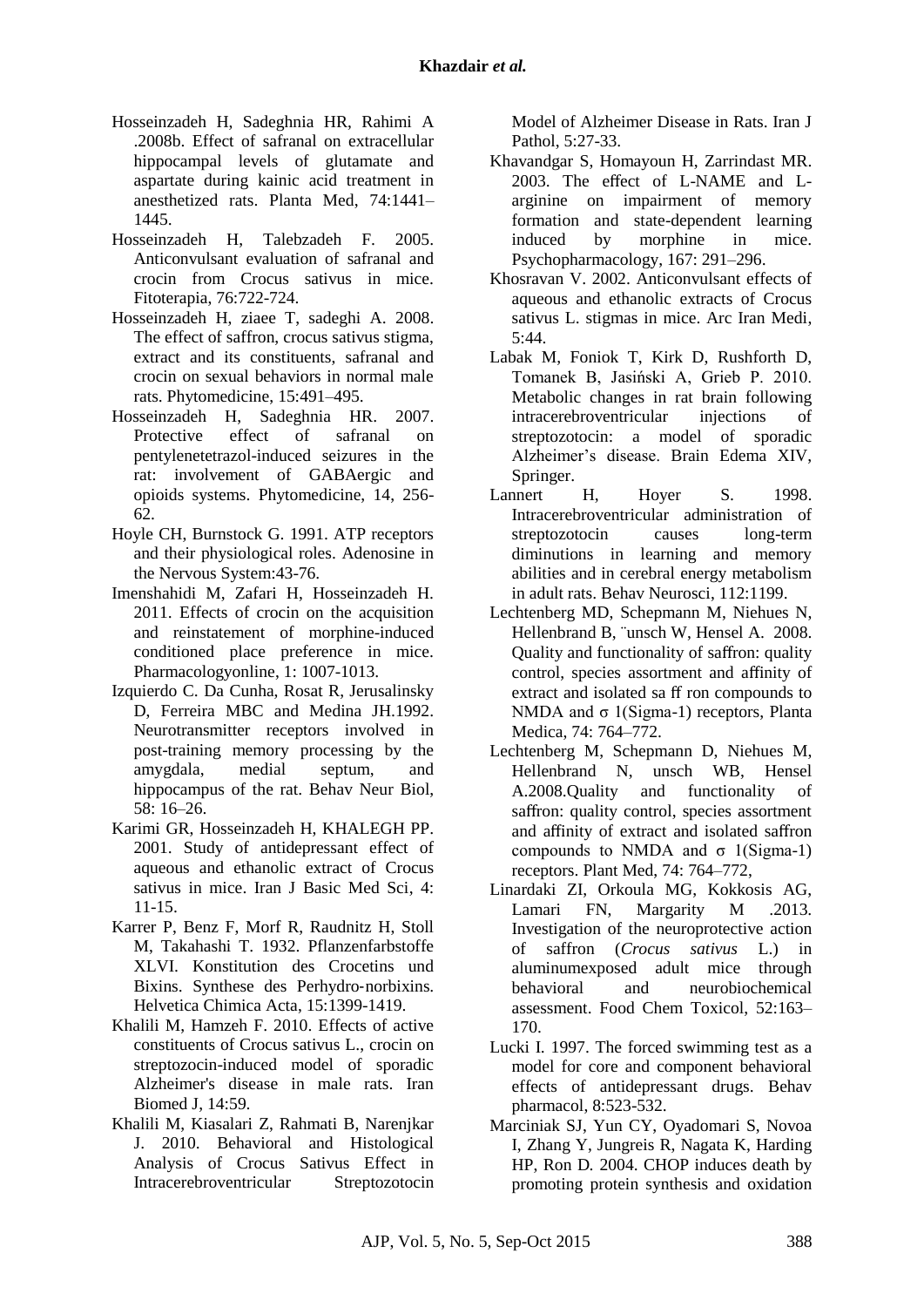- Hosseinzadeh H, Sadeghnia HR, Rahimi A .2008b. Effect of safranal on extracellular hippocampal levels of glutamate and aspartate during kainic acid treatment in anesthetized rats. Planta Med, 74:1441– 1445.
- Hosseinzadeh H, Talebzadeh F. 2005. Anticonvulsant evaluation of safranal and crocin from Crocus sativus in mice. Fitoterapia, 76:722-724.
- Hosseinzadeh H, ziaee T, sadeghi A. 2008. The effect of saffron, crocus sativus stigma, extract and its constituents, safranal and crocin on sexual behaviors in normal male rats. Phytomedicine, 15:491–495.
- [Hosseinzadeh H,](http://www.ncbi.nlm.nih.gov/pubmed/?term=Hosseinzadeh%20H%5BAuthor%5D&cauthor=true&cauthor_uid=16707256) [Sadeghnia HR.](http://www.ncbi.nlm.nih.gov/pubmed/?term=Sadeghnia%20HR%5BAuthor%5D&cauthor=true&cauthor_uid=16707256) 2007. Protective effect of safranal on pentylenetetrazol-induced seizures in the rat: involvement of GABAergic and opioids systems. Phytomedicine, 14, 256- 62.
- Hoyle CH, Burnstock G. 1991. ATP receptors and their physiological roles. Adenosine in the Nervous System:43-76.
- Imenshahidi M, Zafari H, Hosseinzadeh H. 2011. Effects of crocin on the acquisition and reinstatement of morphine-induced conditioned place preference in mice. Pharmacologyonline, 1: 1007-1013.
- Izquierdo C. Da Cunha, Rosat R, Jerusalinsky D, Ferreira MBC and Medina JH.1992. Neurotransmitter receptors involved in post-training memory processing by the amygdala, medial septum, and hippocampus of the rat. Behav Neur Biol, 58: 16–26.
- Karimi GR, Hosseinzadeh H, KHALEGH PP. 2001. Study of antidepressant effect of aqueous and ethanolic extract of Crocus sativus in mice. Iran J Basic Med Sci, 4: 11-15.
- Karrer P, Benz F, Morf R, Raudnitz H, Stoll M, Takahashi T. 1932. Pflanzenfarbstoffe XLVI. Konstitution des Crocetins und Bixins. Synthese des Perhydro‐norbixins. Helvetica Chimica Acta, 15:1399-1419.
- Khalili M, Hamzeh F. 2010. Effects of active constituents of Crocus sativus L., crocin on streptozocin-induced model of sporadic Alzheimer's disease in male rats. Iran Biomed J, 14:59.
- Khalili M, Kiasalari Z, Rahmati B, Narenjkar J. 2010. Behavioral and Histological Analysis of Crocus Sativus Effect in Intracerebroventricular Streptozotocin

Model of Alzheimer Disease in Rats. Iran J Pathol, 5:27-33.

- Khavandgar S, Homayoun H, Zarrindast MR. 2003. The effect of L-NAME and Larginine on impairment of memory formation and state-dependent learning induced by morphine in mice. Psychopharmacology, 167: 291–296.
- Khosravan V. 2002. Anticonvulsant effects of aqueous and ethanolic extracts of Crocus sativus L. stigmas in mice. Arc Iran Medi,  $5:44.$
- Labak M, Foniok T, Kirk D, Rushforth D, Tomanek B, Jasiński A, Grieb P. 2010. Metabolic changes in rat brain following intracerebroventricular injections of streptozotocin: a model of sporadic Alzheimer's disease. Brain Edema XIV, Springer.
- Lannert H, Hover S. 1998. Intracerebroventricular administration of streptozotocin causes long-term diminutions in learning and memory abilities and in cerebral energy metabolism in adult rats. Behav Neurosci, 112:1199.
- Lechtenberg MD, Schepmann M, Niehues N, Hellenbrand B, ¨unsch W, Hensel A. 2008. Quality and functionality of saffron: quality control, species assortment and affinity of extract and isolated sa ff ron compounds to NMDA and  $σ$  1(Sigma-1) receptors, Planta Medica, 74: 764–772.
- Lechtenberg M, Schepmann D, Niehues M, Hellenbrand N, unsch WB, Hensel A.2008.Quality and functionality of saffron: quality control, species assortment and affinity of extract and isolated saffron compounds to NMDA and  $σ$  1(Sigma-1) receptors. Plant Med, 74: 764–772,
- Linardaki ZI, Orkoula MG, Kokkosis AG, Lamari FN, Margarity M .2013. Investigation of the neuroprotective action of saffron (*Crocus sativus* L.) in aluminumexposed adult mice through behavioral and neurobiochemical assessment. Food Chem Toxicol, 52:163– 170.
- Lucki I. 1997. The forced swimming test as a model for core and component behavioral effects of antidepressant drugs. Behav pharmacol, 8:523-532.
- Marciniak SJ, Yun CY, Oyadomari S, Novoa I, Zhang Y, Jungreis R, Nagata K, Harding HP, Ron D*.* 2004. CHOP induces death by promoting protein synthesis and oxidation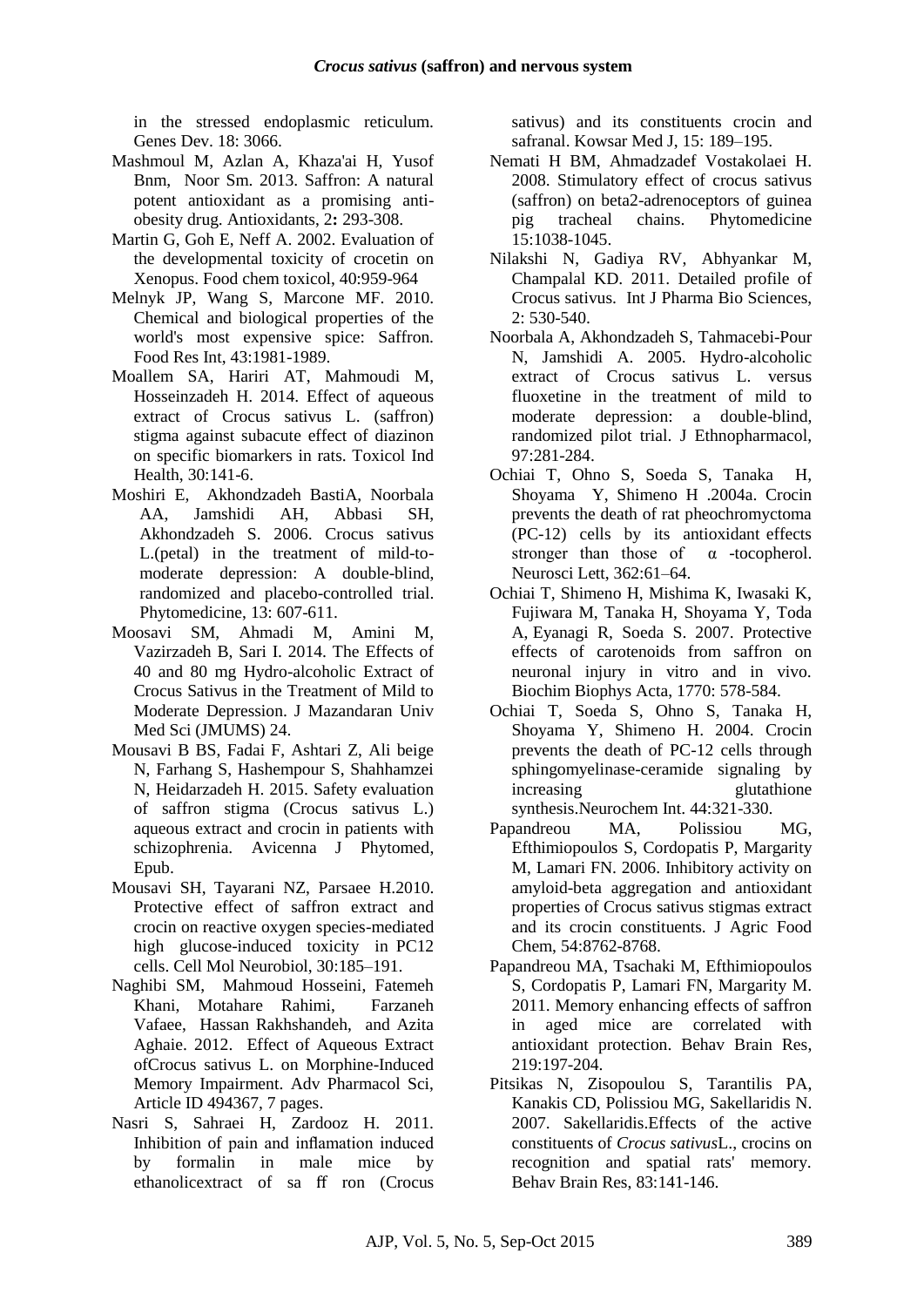in the stressed endoplasmic reticulum. Genes Dev. 18: 3066.

- Mashmoul M, Azlan A, Khaza'ai H, Yusof Bnm, Noor Sm. 2013. Saffron: A natural potent antioxidant as a promising antiobesity drug. Antioxidants, 2**:** 293-308.
- Martin G, Goh E, Neff A. 2002. Evaluation of the developmental toxicity of crocetin on Xenopus. Food chem toxicol, 40:959-964
- Melnyk JP, Wang S, Marcone MF. 2010. Chemical and biological properties of the world's most expensive spice: Saffron. Food Res Int, 43:1981-1989.
- Moallem SA, Hariri AT, Mahmoudi M, Hosseinzadeh H. 2014. [Effect of aqueous](http://www.ncbi.nlm.nih.gov/pubmed/22782707)  [extract of Crocus sativus L. \(saffron\)](http://www.ncbi.nlm.nih.gov/pubmed/22782707)  [stigma against subacute effect of diazinon](http://www.ncbi.nlm.nih.gov/pubmed/22782707)  [on specific biomarkers](http://www.ncbi.nlm.nih.gov/pubmed/22782707) in rats. Toxicol Ind Health, 30:141-6.
- Moshiri E, Akhondzadeh BastiA, Noorbala AA, Jamshidi AH, Abbasi SH, Akhondzadeh S. 2006. Crocus sativus L.(petal) in the treatment of mild-tomoderate depression: A double-blind, randomized and placebo-controlled trial. Phytomedicine, 13: 607-611.
- Moosavi SM, Ahmadi M, Amini M, Vazirzadeh B, Sari I. 2014. The Effects of 40 and 80 mg Hydro-alcoholic Extract of Crocus Sativus in the Treatment of Mild to Moderate Depression. J Mazandaran Univ Med Sci (JMUMS) 24.
- Mousavi B BS, Fadai F, Ashtari Z, Ali beige N, Farhang S, Hashempour S, Shahhamzei N, Heidarzadeh H. 2015. Safety evaluation of saffron stigma (Crocus sativus L.) aqueous extract and crocin in patients with schizophrenia. Avicenna J Phytomed, Epub.
- Mousavi SH, Tayarani NZ, Parsaee H.2010. Protective effect of saffron extract and crocin on reactive oxygen species-mediated high glucose-induced toxicity in PC12 cells. Cell Mol Neurobiol, 30:185–191.
- Naghibi SM, Mahmoud Hosseini, Fatemeh Khani, Motahare Rahimi, Farzaneh Vafaee, Hassan Rakhshandeh, and Azita Aghaie. 2012. Effect of Aqueous Extract ofCrocus sativus L. on Morphine-Induced Memory Impairment. Adv Pharmacol Sci, Article ID 494367, 7 pages.
- Nasri S, Sahraei H, Zardooz H. 2011. Inhibition of pain and inflamation induced by formalin in male mice by ethanolicextract of sa ff ron (Crocus

sativus) and its constituents crocin and safranal. Kowsar Med J, 15: 189–195.

- Nemati H BM, Ahmadzadef Vostakolaei H. 2008. Stimulatory effect of crocus sativus (saffron) on beta2-adrenoceptors of guinea pig tracheal chains. Phytomedicine 15:1038-1045.
- Nilakshi N, Gadiya RV, Abhyankar M, Champalal KD. 2011. Detailed profile of Crocus sativus. Int J Pharma Bio Sciences,  $2: 530-540$
- Noorbala A, Akhondzadeh S, Tahmacebi-Pour N, Jamshidi A. 2005. Hydro-alcoholic extract of Crocus sativus L. versus fluoxetine in the treatment of mild to moderate depression: a double-blind, randomized pilot trial. J Ethnopharmacol, 97:281-284.
- Ochiai T, Ohno S, Soeda S, Tanaka H, Shoyama Y, Shimeno H .2004a. Crocin prevents the death of rat pheochromyctoma (PC-12) cells by its antioxidant effects stronger than those of  $\alpha$  -tocopherol. Neurosci Lett, 362:61–64.
- Ochiai T, Shimeno H, Mishima K, Iwasaki K, Fujiwara M, Tanaka H, Shoyama Y, Toda A, Eyanagi R, Soeda S. 2007. Protective effects of carotenoids from saffron on neuronal injury in vitro and in vivo. Biochim Biophys Acta, 1770: 578-584.
- Ochiai T, Soeda S, Ohno S, Tanaka H, Shoyama Y, Shimeno H. 2004. [Crocin](http://www.ncbi.nlm.nih.gov/pubmed/14643749)  [prevents the death of PC-12 cells through](http://www.ncbi.nlm.nih.gov/pubmed/14643749)  [sphingomyelinase-ceramide signaling by](http://www.ncbi.nlm.nih.gov/pubmed/14643749)  increasing glutathione [synthesis.N](http://www.ncbi.nlm.nih.gov/pubmed/14643749)eurochem Int. 44:321-330.
- Papandreou MA, Polissiou MG, Efthimiopoulos S, Cordopatis P, Margarity M, Lamari FN. 2006. Inhibitory activity on amyloid-beta aggregation and antioxidant properties of Crocus sativus stigmas extract and its crocin constituents. J Agric Food Chem, 54:8762-8768.
- Papandreou MA, Tsachaki M, Efthimiopoulos S, Cordopatis P, Lamari FN, Margarity M. 2011. Memory enhancing effects of saffron in aged mice are correlated with antioxidant protection. Behav Brain Res, 219:197-204.
- [Pitsikas N,](http://www.ncbi.nlm.nih.gov/pubmed/?term=Pitsikas%20N%5BAuthor%5D&cauthor=true&cauthor_uid=17628713) [Zisopoulou S,](http://www.ncbi.nlm.nih.gov/pubmed/?term=Zisopoulou%20S%5BAuthor%5D&cauthor=true&cauthor_uid=17628713) [Tarantilis PA,](http://www.ncbi.nlm.nih.gov/pubmed/?term=Tarantilis%20PA%5BAuthor%5D&cauthor=true&cauthor_uid=17628713) [Kanakis CD,](http://www.ncbi.nlm.nih.gov/pubmed/?term=Kanakis%20CD%5BAuthor%5D&cauthor=true&cauthor_uid=17628713) [Polissiou MG,](http://www.ncbi.nlm.nih.gov/pubmed/?term=Polissiou%20MG%5BAuthor%5D&cauthor=true&cauthor_uid=17628713) [Sakellaridis N.](http://www.ncbi.nlm.nih.gov/pubmed/?term=Sakellaridis%20N%5BAuthor%5D&cauthor=true&cauthor_uid=17628713) 2007. Sakellaridis.Effects of the active constituents of *Crocus sativus*L., crocins on recognition and spatial rats' memory. [Behav Brain Res,](http://www.ncbi.nlm.nih.gov/pubmed/?term=Sakellaridis.Effects+of+the+active+constituents+of+Crocus+sativus+L.%2C+crocins+on+recognition+and+spatial+rats) 83:141-146.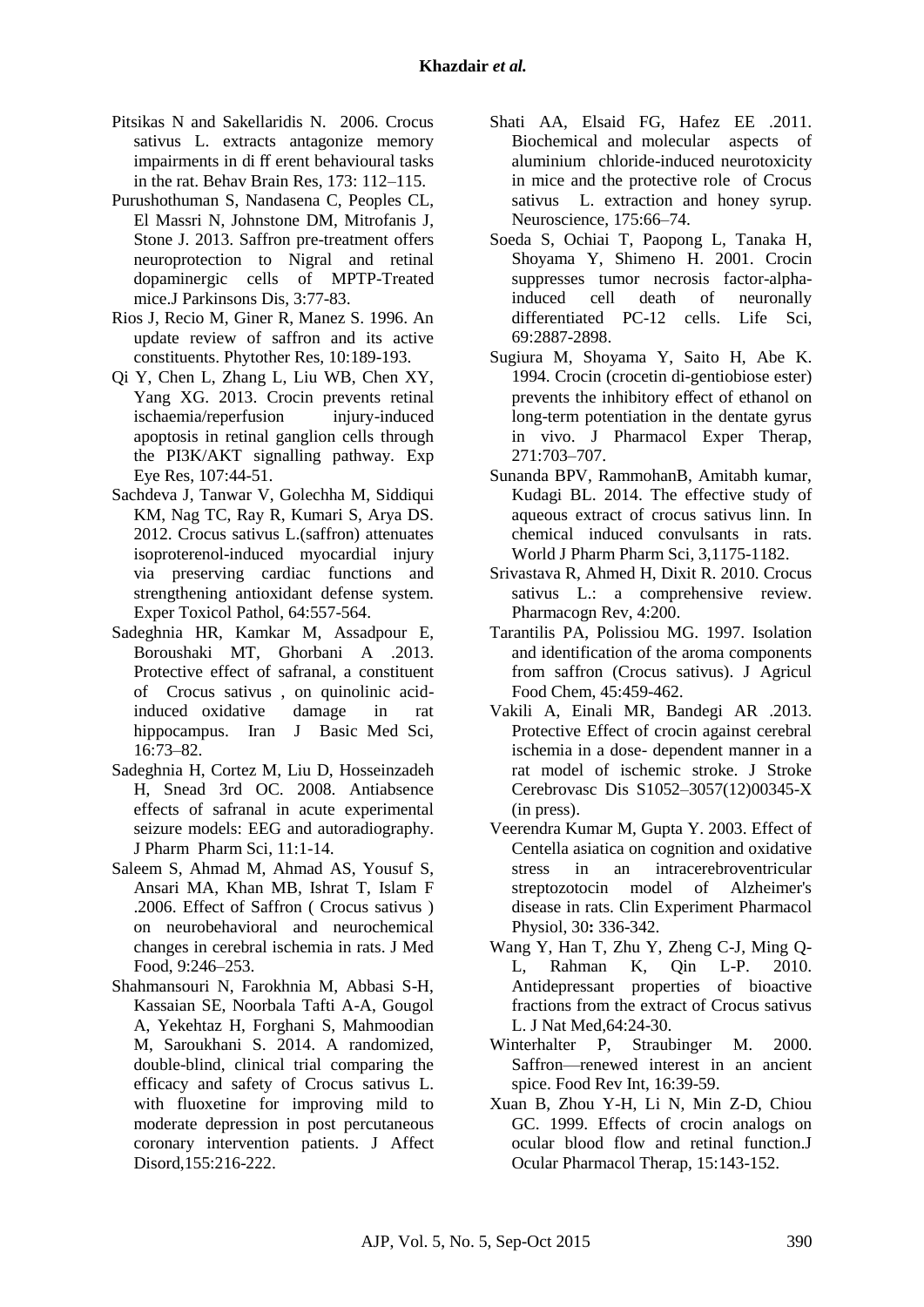- Pitsikas N and Sakellaridis N. 2006. Crocus sativus L. extracts antagonize memory impairments in di ff erent behavioural tasks in the rat. Behav Brain Res, 173: 112–115.
- [Purushothuman S, Nandasena C, Peoples CL,](http://www.ncbi.nlm.nih.gov/pubmed/23938314)  [El Massri N, Johnstone DM, Mitrofanis J,](http://www.ncbi.nlm.nih.gov/pubmed/23938314)  [Stone J. 2013. Saffron pre-treatment offers](http://www.ncbi.nlm.nih.gov/pubmed/23938314)  [neuroprotection to Nigral and retinal](http://www.ncbi.nlm.nih.gov/pubmed/23938314)  [dopaminergic cells of MPTP-Treated](http://www.ncbi.nlm.nih.gov/pubmed/23938314)  [mice.J](http://www.ncbi.nlm.nih.gov/pubmed/23938314) Parkinsons Dis, 3:77-83.
- Rios J, Recio M, Giner R, Manez S. 1996. An update review of saffron and its active constituents. Phytother Res, 10:189-193.
- Qi Y, Chen L, Zhang L, Liu WB, Chen XY, Yang XG. 2013. [Crocin prevents retinal](http://www.ncbi.nlm.nih.gov/pubmed/23201026)  ischaemia/reperfusion injury-induced [apoptosis in retinal ganglion cells through](http://www.ncbi.nlm.nih.gov/pubmed/23201026)  [the PI3K/AKT signalling pathway.](http://www.ncbi.nlm.nih.gov/pubmed/23201026) Exp Eye Res, 107:44-51.
- Sachdeva J, Tanwar V, Golechha M, Siddiqui KM, Nag TC, Ray R, Kumari S, Arya DS. 2012. Crocus sativus L.(saffron) attenuates isoproterenol-induced myocardial injury via preserving cardiac functions and strengthening antioxidant defense system. Exper Toxicol Pathol, 64:557-564.
- Sadeghnia HR, Kamkar M, Assadpour E, Boroushaki MT, Ghorbani A .2013. Protective effect of safranal, a constituent of Crocus sativus , on quinolinic acidinduced oxidative damage in rat hippocampus. Iran J Basic Med Sci, 16:73–82.
- Sadeghnia H, Cortez M, Liu D, Hosseinzadeh H, Snead 3rd OC. 2008. Antiabsence effects of safranal in acute experimental seizure models: EEG and autoradiography. J Pharm Pharm Sci, 11:1-14.
- Saleem S, Ahmad M, Ahmad AS, Yousuf S, Ansari MA, Khan MB, Ishrat T, Islam F .2006. Effect of Saffron ( Crocus sativus ) on neurobehavioral and neurochemical changes in cerebral ischemia in rats. J Med Food, 9:246–253.
- Shahmansouri N, Farokhnia M, Abbasi S-H, Kassaian SE, Noorbala Tafti A-A, Gougol A, Yekehtaz H, Forghani S, Mahmoodian M, Saroukhani S. 2014. A randomized, double-blind, clinical trial comparing the efficacy and safety of Crocus sativus L. with fluoxetine for improving mild to moderate depression in post percutaneous coronary intervention patients. J Affect Disord,155:216-222.
- Shati AA, Elsaid FG, Hafez EE .2011. Biochemical and molecular aspects of aluminium chloride-induced neurotoxicity in mice and the protective role of Crocus sativus L. extraction and honey syrup. Neuroscience, 175:66–74.
- Soeda S, Ochiai T, Paopong L, Tanaka H, Shoyama Y, Shimeno H. 2001. [Crocin](http://www.ncbi.nlm.nih.gov/pubmed/11720092)  [suppresses tumor necrosis factor-alpha](http://www.ncbi.nlm.nih.gov/pubmed/11720092)[induced cell death of neuronally](http://www.ncbi.nlm.nih.gov/pubmed/11720092)  [differentiated PC-12 cells.](http://www.ncbi.nlm.nih.gov/pubmed/11720092) Life Sci, 69:2887-2898.
- Sugiura M, Shoyama Y, Saito H, Abe K. 1994. Crocin (crocetin di-gentiobiose ester) prevents the inhibitory effect of ethanol on long-term potentiation in the dentate gyrus in vivo. J Pharmacol Exper Therap, 271:703–707.
- Sunanda BPV, RammohanB, Amitabh kumar, Kudagi BL. 2014. The effective study of aqueous extract of crocus sativus linn. In chemical induced convulsants in rats. World J Pharm Pharm Sci, 3,1175-1182.
- Srivastava R, Ahmed H, Dixit R. 2010. Crocus sativus L.: a comprehensive review. Pharmacogn Rev, 4:200.
- Tarantilis PA, Polissiou MG. 1997. Isolation and identification of the aroma components from saffron (Crocus sativus). J Agricul Food Chem, 45:459-462.
- Vakili A, Einali MR, Bandegi AR .2013. Protective Effect of crocin against cerebral ischemia in a dose- dependent manner in a rat model of ischemic stroke. J Stroke Cerebrovasc Dis S1052–3057(12)00345-X (in press).
- Veerendra Kumar M, Gupta Y. 2003. Effect of Centella asiatica on cognition and oxidative stress in an intracerebroventricular streptozotocin model of Alzheimer's disease in rats. Clin Experiment Pharmacol Physiol, 30**:** 336-342.
- Wang Y, Han T, Zhu Y, Zheng C-J, Ming Q-L, Rahman K, Qin L-P. 2010. Antidepressant properties of bioactive fractions from the extract of Crocus sativus L. J Nat Med,64:24-30.
- Winterhalter P, Straubinger M. 2000. Saffron—renewed interest in an ancient spice. Food Rev Int, 16:39-59.
- Xuan B, Zhou Y-H, Li N, Min Z-D, Chiou GC. 1999. Effects of crocin analogs on ocular blood flow and retinal function.J Ocular Pharmacol Therap, 15:143-152.